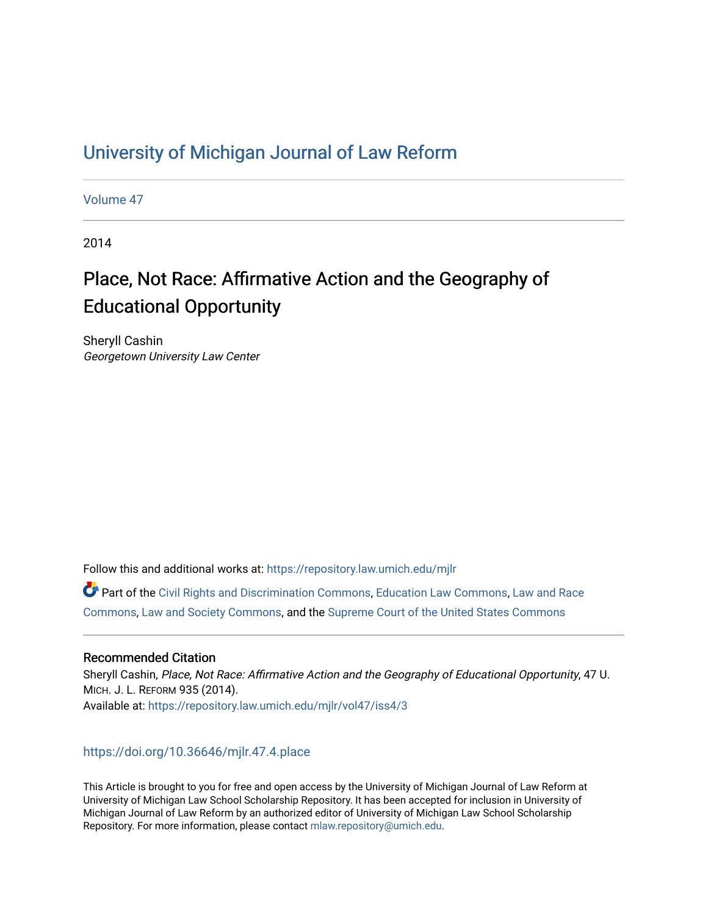## [University of Michigan Journal of Law Reform](https://repository.law.umich.edu/mjlr)

[Volume 47](https://repository.law.umich.edu/mjlr/vol47)

2014

# Place, Not Race: Affirmative Action and the Geography of Educational Opportunity

Sheryll Cashin Georgetown University Law Center

Follow this and additional works at: [https://repository.law.umich.edu/mjlr](https://repository.law.umich.edu/mjlr?utm_source=repository.law.umich.edu%2Fmjlr%2Fvol47%2Fiss4%2F3&utm_medium=PDF&utm_campaign=PDFCoverPages) 

Part of the [Civil Rights and Discrimination Commons,](https://network.bepress.com/hgg/discipline/585?utm_source=repository.law.umich.edu%2Fmjlr%2Fvol47%2Fiss4%2F3&utm_medium=PDF&utm_campaign=PDFCoverPages) [Education Law Commons](https://network.bepress.com/hgg/discipline/596?utm_source=repository.law.umich.edu%2Fmjlr%2Fvol47%2Fiss4%2F3&utm_medium=PDF&utm_campaign=PDFCoverPages), [Law and Race](https://network.bepress.com/hgg/discipline/1300?utm_source=repository.law.umich.edu%2Fmjlr%2Fvol47%2Fiss4%2F3&utm_medium=PDF&utm_campaign=PDFCoverPages) [Commons](https://network.bepress.com/hgg/discipline/1300?utm_source=repository.law.umich.edu%2Fmjlr%2Fvol47%2Fiss4%2F3&utm_medium=PDF&utm_campaign=PDFCoverPages), [Law and Society Commons,](https://network.bepress.com/hgg/discipline/853?utm_source=repository.law.umich.edu%2Fmjlr%2Fvol47%2Fiss4%2F3&utm_medium=PDF&utm_campaign=PDFCoverPages) and the [Supreme Court of the United States Commons](https://network.bepress.com/hgg/discipline/1350?utm_source=repository.law.umich.edu%2Fmjlr%2Fvol47%2Fiss4%2F3&utm_medium=PDF&utm_campaign=PDFCoverPages)

## Recommended Citation

Sheryll Cashin, Place, Not Race: Affirmative Action and the Geography of Educational Opportunity, 47 U. MICH. J. L. REFORM 935 (2014). Available at: [https://repository.law.umich.edu/mjlr/vol47/iss4/3](https://repository.law.umich.edu/mjlr/vol47/iss4/3?utm_source=repository.law.umich.edu%2Fmjlr%2Fvol47%2Fiss4%2F3&utm_medium=PDF&utm_campaign=PDFCoverPages) 

## <https://doi.org/10.36646/mjlr.47.4.place>

This Article is brought to you for free and open access by the University of Michigan Journal of Law Reform at University of Michigan Law School Scholarship Repository. It has been accepted for inclusion in University of Michigan Journal of Law Reform by an authorized editor of University of Michigan Law School Scholarship Repository. For more information, please contact [mlaw.repository@umich.edu](mailto:mlaw.repository@umich.edu).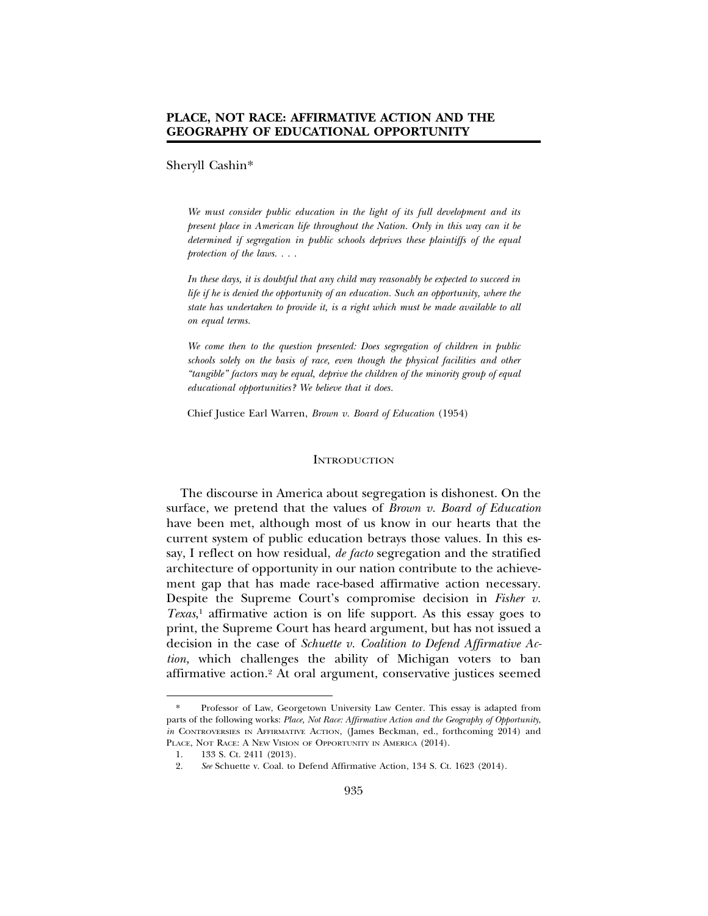## **PLACE, NOT RACE: AFFIRMATIVE ACTION AND THE GEOGRAPHY OF EDUCATIONAL OPPORTUNITY**

## Sheryll Cashin\*

*We must consider public education in the light of its full development and its present place in American life throughout the Nation. Only in this way can it be determined if segregation in public schools deprives these plaintiffs of the equal protection of the laws. . . .*

*In these days, it is doubtful that any child may reasonably be expected to succeed in life if he is denied the opportunity of an education. Such an opportunity, where the state has undertaken to provide it, is a right which must be made available to all on equal terms.*

*We come then to the question presented: Does segregation of children in public schools solely on the basis of race, even though the physical facilities and other "tangible" factors may be equal, deprive the children of the minority group of equal educational opportunities? We believe that it does.*

Chief Justice Earl Warren, *Brown v. Board of Education* (1954)

#### **INTRODUCTION**

The discourse in America about segregation is dishonest. On the surface, we pretend that the values of *Brown v. Board of Education* have been met, although most of us know in our hearts that the current system of public education betrays those values. In this essay, I reflect on how residual, *de facto* segregation and the stratified architecture of opportunity in our nation contribute to the achievement gap that has made race-based affirmative action necessary. Despite the Supreme Court's compromise decision in *Fisher v. Texas*, 1 affirmative action is on life support. As this essay goes to print, the Supreme Court has heard argument, but has not issued a decision in the case of *Schuette v. Coalition to Defend Affirmative Action,* which challenges the ability of Michigan voters to ban affirmative action.2 At oral argument, conservative justices seemed

<sup>\*</sup> Professor of Law, Georgetown University Law Center. This essay is adapted from parts of the following works: *Place, Not Race: Affirmative Action and the Geography of Opportunity*, *in* CONTROVERSIES IN AFFIRMATIVE ACTION, (James Beckman, ed., forthcoming 2014) and PLACE, NOT RACE: A NEW VISION OF OPPORTUNITY IN AMERICA (2014).

<sup>1. 133</sup> S. Ct. 2411 (2013).

<sup>2.</sup> *See* Schuette v. Coal. to Defend Affirmative Action, 134 S. Ct. 1623 (2014).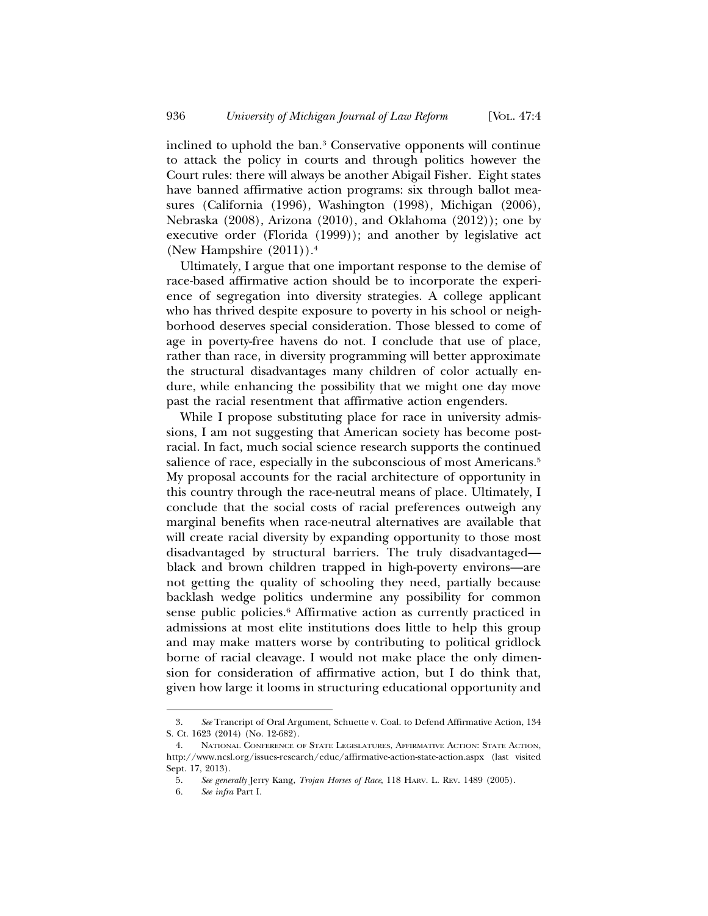inclined to uphold the ban.3 Conservative opponents will continue to attack the policy in courts and through politics however the Court rules: there will always be another Abigail Fisher. Eight states have banned affirmative action programs: six through ballot measures (California (1996), Washington (1998), Michigan (2006), Nebraska (2008), Arizona (2010), and Oklahoma (2012)); one by executive order (Florida (1999)); and another by legislative act (New Hampshire  $(2011)$ ).<sup>4</sup>

Ultimately, I argue that one important response to the demise of race-based affirmative action should be to incorporate the experience of segregation into diversity strategies. A college applicant who has thrived despite exposure to poverty in his school or neighborhood deserves special consideration. Those blessed to come of age in poverty-free havens do not. I conclude that use of place, rather than race, in diversity programming will better approximate the structural disadvantages many children of color actually endure, while enhancing the possibility that we might one day move past the racial resentment that affirmative action engenders.

While I propose substituting place for race in university admissions, I am not suggesting that American society has become postracial. In fact, much social science research supports the continued salience of race, especially in the subconscious of most Americans.<sup>5</sup> My proposal accounts for the racial architecture of opportunity in this country through the race-neutral means of place. Ultimately, I conclude that the social costs of racial preferences outweigh any marginal benefits when race-neutral alternatives are available that will create racial diversity by expanding opportunity to those most disadvantaged by structural barriers. The truly disadvantaged black and brown children trapped in high-poverty environs—are not getting the quality of schooling they need, partially because backlash wedge politics undermine any possibility for common sense public policies.6 Affirmative action as currently practiced in admissions at most elite institutions does little to help this group and may make matters worse by contributing to political gridlock borne of racial cleavage. I would not make place the only dimension for consideration of affirmative action, but I do think that, given how large it looms in structuring educational opportunity and

<sup>3.</sup> *See* Trancript of Oral Argument, Schuette v. Coal. to Defend Affirmative Action, 134 S. Ct. 1623 (2014) (No. 12-682).

<sup>4.</sup> NATIONAL CONFERENCE OF STATE LEGISLATURES, AFFIRMATIVE ACTION: STATE ACTION, http://www.ncsl.org/issues-research/educ/affirmative-action-state-action.aspx (last visited Sept. 17, 2013).

<sup>5.</sup> *See generally* Jerry Kang, *Trojan Horses of Race*, 118 HARV. L. REV. 1489 (2005).

<sup>6.</sup> *See infra* Part I.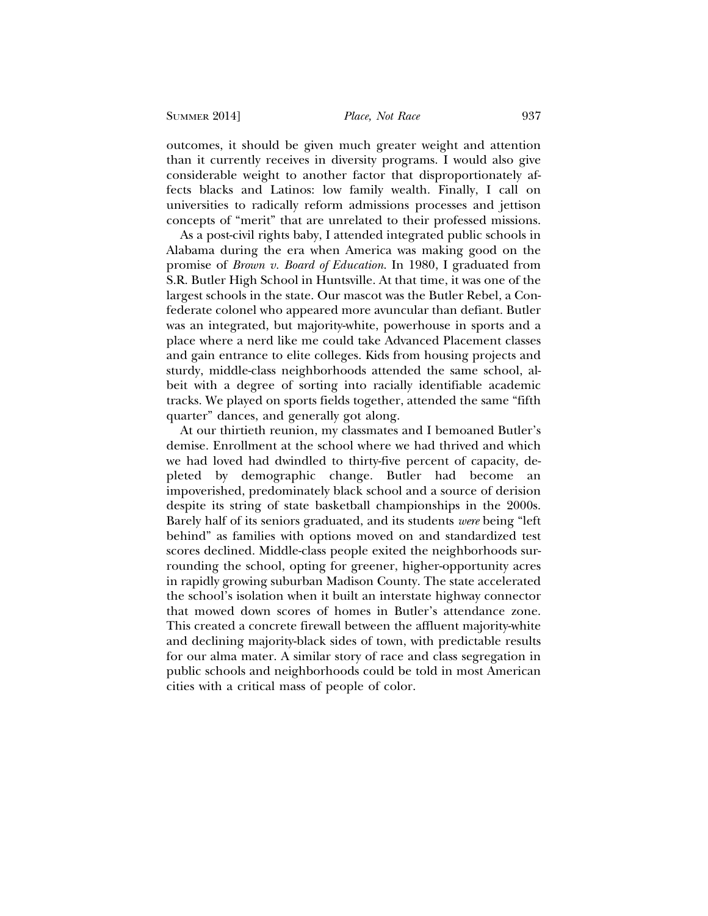outcomes, it should be given much greater weight and attention than it currently receives in diversity programs. I would also give considerable weight to another factor that disproportionately affects blacks and Latinos: low family wealth. Finally, I call on universities to radically reform admissions processes and jettison concepts of "merit" that are unrelated to their professed missions.

As a post-civil rights baby, I attended integrated public schools in Alabama during the era when America was making good on the promise of *Brown v. Board of Education*. In 1980, I graduated from S.R. Butler High School in Huntsville. At that time, it was one of the largest schools in the state. Our mascot was the Butler Rebel, a Confederate colonel who appeared more avuncular than defiant. Butler was an integrated, but majority-white, powerhouse in sports and a place where a nerd like me could take Advanced Placement classes and gain entrance to elite colleges. Kids from housing projects and sturdy, middle-class neighborhoods attended the same school, albeit with a degree of sorting into racially identifiable academic tracks. We played on sports fields together, attended the same "fifth quarter" dances, and generally got along.

At our thirtieth reunion, my classmates and I bemoaned Butler's demise. Enrollment at the school where we had thrived and which we had loved had dwindled to thirty-five percent of capacity, depleted by demographic change. Butler had become an impoverished, predominately black school and a source of derision despite its string of state basketball championships in the 2000s. Barely half of its seniors graduated, and its students *were* being "left behind" as families with options moved on and standardized test scores declined. Middle-class people exited the neighborhoods surrounding the school, opting for greener, higher-opportunity acres in rapidly growing suburban Madison County. The state accelerated the school's isolation when it built an interstate highway connector that mowed down scores of homes in Butler's attendance zone. This created a concrete firewall between the affluent majority-white and declining majority-black sides of town, with predictable results for our alma mater. A similar story of race and class segregation in public schools and neighborhoods could be told in most American cities with a critical mass of people of color.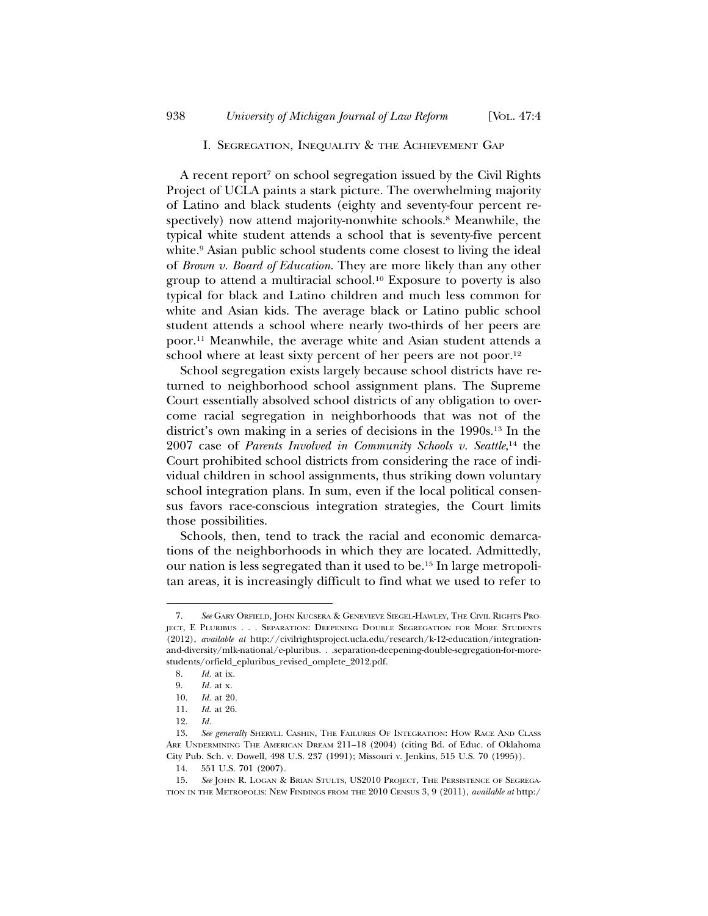#### I. SEGREGATION, INEQUALITY & THE ACHIEVEMENT GAP

A recent report<sup>7</sup> on school segregation issued by the Civil Rights Project of UCLA paints a stark picture. The overwhelming majority of Latino and black students (eighty and seventy-four percent respectively) now attend majority-nonwhite schools.<sup>8</sup> Meanwhile, the typical white student attends a school that is seventy-five percent white.<sup>9</sup> Asian public school students come closest to living the ideal of *Brown v. Board of Education*. They are more likely than any other group to attend a multiracial school.10 Exposure to poverty is also typical for black and Latino children and much less common for white and Asian kids. The average black or Latino public school student attends a school where nearly two-thirds of her peers are poor.11 Meanwhile, the average white and Asian student attends a school where at least sixty percent of her peers are not poor.<sup>12</sup>

School segregation exists largely because school districts have returned to neighborhood school assignment plans. The Supreme Court essentially absolved school districts of any obligation to overcome racial segregation in neighborhoods that was not of the district's own making in a series of decisions in the 1990s.13 In the 2007 case of *Parents Involved in Community Schools v. Seattle*, 14 the Court prohibited school districts from considering the race of individual children in school assignments, thus striking down voluntary school integration plans. In sum, even if the local political consensus favors race-conscious integration strategies, the Court limits those possibilities.

Schools, then, tend to track the racial and economic demarcations of the neighborhoods in which they are located. Admittedly, our nation is less segregated than it used to be.15 In large metropolitan areas, it is increasingly difficult to find what we used to refer to

<sup>7.</sup> *See* GARY ORFIELD, JOHN KUCSERA & GENEVIEVE SIEGEL-HAWLEY, THE CIVIL RIGHTS PRO-JECT, E PLURIBUS . . . SEPARATION: DEEPENING DOUBLE SEGREGATION FOR MORE STUDENTS (2012), *available at* http://civilrightsproject.ucla.edu/research/k-12-education/integrationand-diversity/mlk-national/e-pluribus. . .separation-deepening-double-segregation-for-morestudents/orfield\_epluribus\_revised\_omplete\_2012.pdf.

<sup>8.</sup> *Id.* at ix.

<sup>9.</sup> *Id.* at x.

<sup>10.</sup> *Id.* at 20.

<sup>11.</sup> *Id*. at 26.

<sup>12.</sup> *Id.*

<sup>13.</sup> *See generally* SHERYLL CASHIN, THE FAILURES OF INTEGRATION: HOW RACE AND CLASS ARE UNDERMINING THE AMERICAN DREAM 211–18 (2004) (citing Bd. of Educ. of Oklahoma City Pub. Sch. v. Dowell, 498 U.S. 237 (1991); Missouri v. Jenkins, 515 U.S. 70 (1995)).

<sup>14. 551</sup> U.S. 701 (2007).

<sup>15.</sup> *See* JOHN R. LOGAN & BRIAN STULTS, US2010 PROJECT, THE PERSISTENCE OF SEGREGA-TION IN THE METROPOLIS: NEW FINDINGS FROM THE 2010 CENSUS 3, 9 (2011), *available at* http:/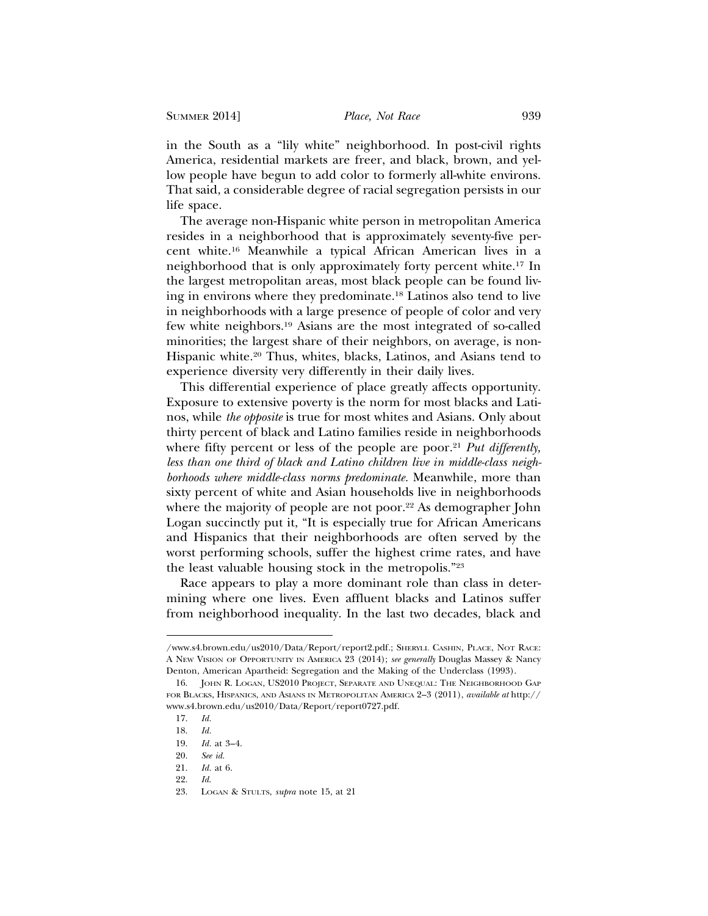in the South as a "lily white" neighborhood. In post-civil rights America, residential markets are freer, and black, brown, and yellow people have begun to add color to formerly all-white environs. That said, a considerable degree of racial segregation persists in our life space.

The average non-Hispanic white person in metropolitan America resides in a neighborhood that is approximately seventy-five percent white.16 Meanwhile a typical African American lives in a neighborhood that is only approximately forty percent white.17 In the largest metropolitan areas, most black people can be found living in environs where they predominate.18 Latinos also tend to live in neighborhoods with a large presence of people of color and very few white neighbors.19 Asians are the most integrated of so-called minorities; the largest share of their neighbors, on average, is non-Hispanic white.<sup>20</sup> Thus, whites, blacks, Latinos, and Asians tend to experience diversity very differently in their daily lives.

This differential experience of place greatly affects opportunity. Exposure to extensive poverty is the norm for most blacks and Latinos, while *the opposite* is true for most whites and Asians. Only about thirty percent of black and Latino families reside in neighborhoods where fifty percent or less of the people are poor.<sup>21</sup> *Put differently*, *less than one third of black and Latino children live in middle-class neighborhoods where middle-class norms predominate.* Meanwhile, more than sixty percent of white and Asian households live in neighborhoods where the majority of people are not poor.<sup>22</sup> As demographer John Logan succinctly put it, "It is especially true for African Americans and Hispanics that their neighborhoods are often served by the worst performing schools, suffer the highest crime rates, and have the least valuable housing stock in the metropolis."23

Race appears to play a more dominant role than class in determining where one lives. Even affluent blacks and Latinos suffer from neighborhood inequality. In the last two decades, black and

<sup>/</sup>www.s4.brown.edu/us2010/Data/Report/report2.pdf.; SHERYLL CASHIN, PLACE, NOT RACE: A NEW VISION OF OPPORTUNITY IN AMERICA 23 (2014); *see generally* Douglas Massey & Nancy Denton, American Apartheid: Segregation and the Making of the Underclass (1993).

<sup>16.</sup> JOHN R. LOGAN, US2010 PROJECT, SEPARATE AND UNEQUAL: THE NEIGHBORHOOD GAP FOR BLACKS, HISPANICS, AND ASIANS IN METROPOLITAN AMERICA 2–3 (2011), *available at* http:// www.s4.brown.edu/us2010/Data/Report/report0727.pdf.

<sup>17.</sup> *Id.*

<sup>18.</sup> *Id.*

<sup>19.</sup> *Id.* at 3–4.

<sup>20.</sup> *See id.*

<sup>21.</sup> *Id.* at 6.

<sup>22.</sup> *Id*.

<sup>23.</sup> LOGAN & STULTS, *supra* note 15, at 21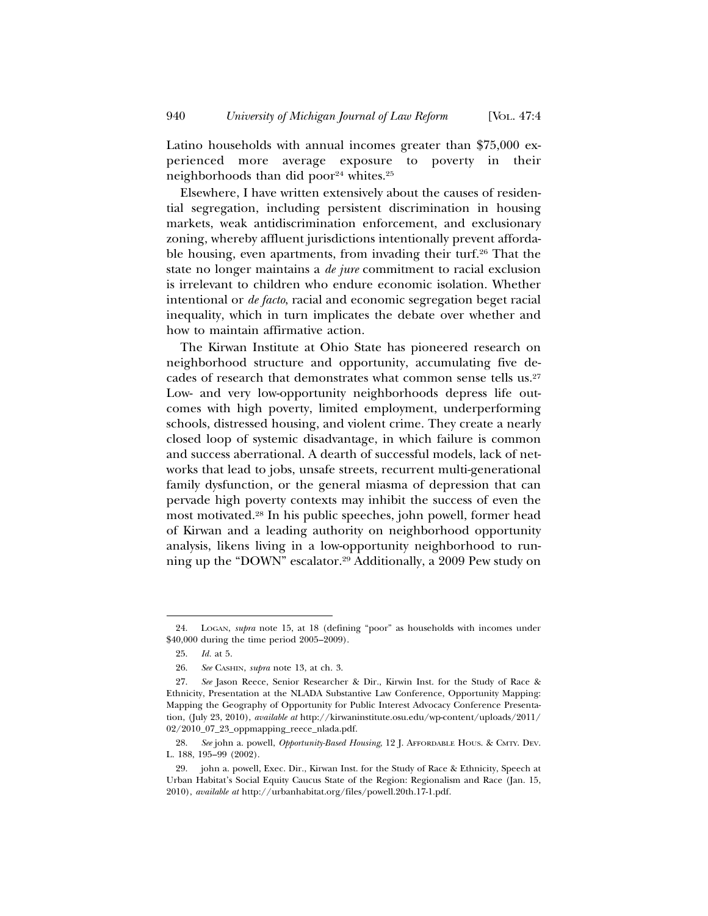Latino households with annual incomes greater than \$75,000 experienced more average exposure to poverty in their neighborhoods than did poor $24$  whites.<sup>25</sup>

Elsewhere, I have written extensively about the causes of residential segregation, including persistent discrimination in housing markets, weak antidiscrimination enforcement, and exclusionary zoning, whereby affluent jurisdictions intentionally prevent affordable housing, even apartments, from invading their turf.<sup>26</sup> That the state no longer maintains a *de jure* commitment to racial exclusion is irrelevant to children who endure economic isolation. Whether intentional or *de facto*, racial and economic segregation beget racial inequality, which in turn implicates the debate over whether and how to maintain affirmative action.

The Kirwan Institute at Ohio State has pioneered research on neighborhood structure and opportunity, accumulating five decades of research that demonstrates what common sense tells us.27 Low- and very low-opportunity neighborhoods depress life outcomes with high poverty, limited employment, underperforming schools, distressed housing, and violent crime. They create a nearly closed loop of systemic disadvantage, in which failure is common and success aberrational. A dearth of successful models, lack of networks that lead to jobs, unsafe streets, recurrent multi-generational family dysfunction, or the general miasma of depression that can pervade high poverty contexts may inhibit the success of even the most motivated.28 In his public speeches, john powell, former head of Kirwan and a leading authority on neighborhood opportunity analysis, likens living in a low-opportunity neighborhood to running up the "DOWN" escalator.29 Additionally, a 2009 Pew study on

<sup>24.</sup> LOGAN, *supra* note 15, at 18 (defining "poor" as households with incomes under \$40,000 during the time period 2005–2009).

<sup>25.</sup> *Id.* at 5.

<sup>26.</sup> *See* CASHIN, *supra* note 13, at ch. 3.

<sup>27.</sup> *See* Jason Reece, Senior Researcher & Dir., Kirwin Inst. for the Study of Race & Ethnicity, Presentation at the NLADA Substantive Law Conference, Opportunity Mapping: Mapping the Geography of Opportunity for Public Interest Advocacy Conference Presentation, (July 23, 2010), *available at* http://kirwaninstitute.osu.edu/wp-content/uploads/2011/ 02/2010\_07\_23\_oppmapping\_reece\_nlada.pdf.

<sup>28.</sup> *See* john a. powell, *Opportunity-Based Housing*, 12 J. AFFORDABLE HOUS. & CMTY. DEV. L. 188, 195–99 (2002).

<sup>29.</sup> john a. powell, Exec. Dir., Kirwan Inst. for the Study of Race & Ethnicity, Speech at Urban Habitat's Social Equity Caucus State of the Region: Regionalism and Race (Jan. 15, 2010), *available at* http://urbanhabitat.org/files/powell.20th.17-1.pdf.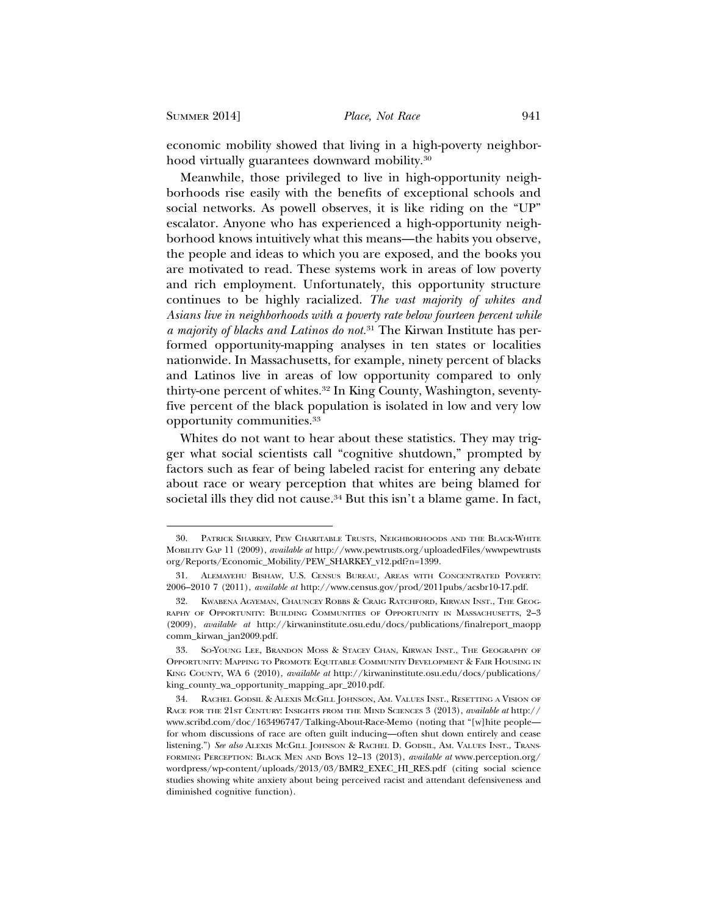SUMMER 2014] *Place, Not Race* 941

economic mobility showed that living in a high-poverty neighborhood virtually guarantees downward mobility.30

Meanwhile, those privileged to live in high-opportunity neighborhoods rise easily with the benefits of exceptional schools and social networks. As powell observes, it is like riding on the "UP" escalator. Anyone who has experienced a high-opportunity neighborhood knows intuitively what this means—the habits you observe, the people and ideas to which you are exposed, and the books you are motivated to read. These systems work in areas of low poverty and rich employment. Unfortunately, this opportunity structure continues to be highly racialized. *The vast majority of whites and Asians live in neighborhoods with a poverty rate below fourteen percent while a majority of blacks and Latinos do not.*31 The Kirwan Institute has performed opportunity-mapping analyses in ten states or localities nationwide. In Massachusetts, for example, ninety percent of blacks and Latinos live in areas of low opportunity compared to only thirty-one percent of whites.32 In King County, Washington, seventyfive percent of the black population is isolated in low and very low opportunity communities.33

Whites do not want to hear about these statistics. They may trigger what social scientists call "cognitive shutdown," prompted by factors such as fear of being labeled racist for entering any debate about race or weary perception that whites are being blamed for societal ills they did not cause.<sup>34</sup> But this isn't a blame game. In fact,

<sup>30.</sup> PATRICK SHARKEY, PEW CHARITABLE TRUSTS, NEIGHBORHOODS AND THE BLACK-WHITE MOBILITY GAP 11 (2009), *available at* http://www.pewtrusts.org/uploadedFiles/wwwpewtrusts org/Reports/Economic\_Mobility/PEW\_SHARKEY\_v12.pdf?n=1399.

<sup>31.</sup> ALEMAYEHU BISHAW, U.S. CENSUS BUREAU, AREAS WITH CONCENTRATED POVERTY: 2006–2010 7 (2011), *available at* http://www.census.gov/prod/2011pubs/acsbr10-17.pdf.

<sup>32.</sup> KWABENA AGYEMAN, CHAUNCEY ROBBS & CRAIG RATCHFORD, KIRWAN INST., THE GEOG-RAPHY OF OPPORTUNITY: BUILDING COMMUNITIES OF OPPORTUNITY IN MASSACHUSETTS, 2–3 (2009), *available at* http://kirwaninstitute.osu.edu/docs/publications/finalreport\_maopp comm\_kirwan\_jan2009.pdf.

<sup>33.</sup> SO-YOUNG LEE, BRANDON MOSS & STACEY CHAN, KIRWAN INST., THE GEOGRAPHY OF OPPORTUNITY: MAPPING TO PROMOTE EQUITABLE COMMUNITY DEVELOPMENT & FAIR HOUSING IN KING COUNTY, WA 6 (2010), *available at* http://kirwaninstitute.osu.edu/docs/publications/ king\_county\_wa\_opportunity\_mapping\_apr\_2010.pdf.

<sup>34.</sup> RACHEL GODSIL & ALEXIS MCGILL JOHNSON, AM. VALUES INST., RESETTING A VISION OF RACE FOR THE 21ST CENTURY: INSIGHTS FROM THE MIND SCIENCES 3 (2013), *available at* http:// www.scribd.com/doc/163496747/Talking-About-Race-Memo (noting that "[w]hite people for whom discussions of race are often guilt inducing—often shut down entirely and cease listening.") *See also* ALEXIS MCGILL JOHNSON & RACHEL D. GODSIL, AM. VALUES INST., TRANS-FORMING PERCEPTION: BLACK MEN AND BOYS 12–13 (2013), *available at* www.perception.org/ wordpress/wp-content/uploads/2013/03/BMR2\_EXEC\_HI\_RES.pdf (citing social science studies showing white anxiety about being perceived racist and attendant defensiveness and diminished cognitive function).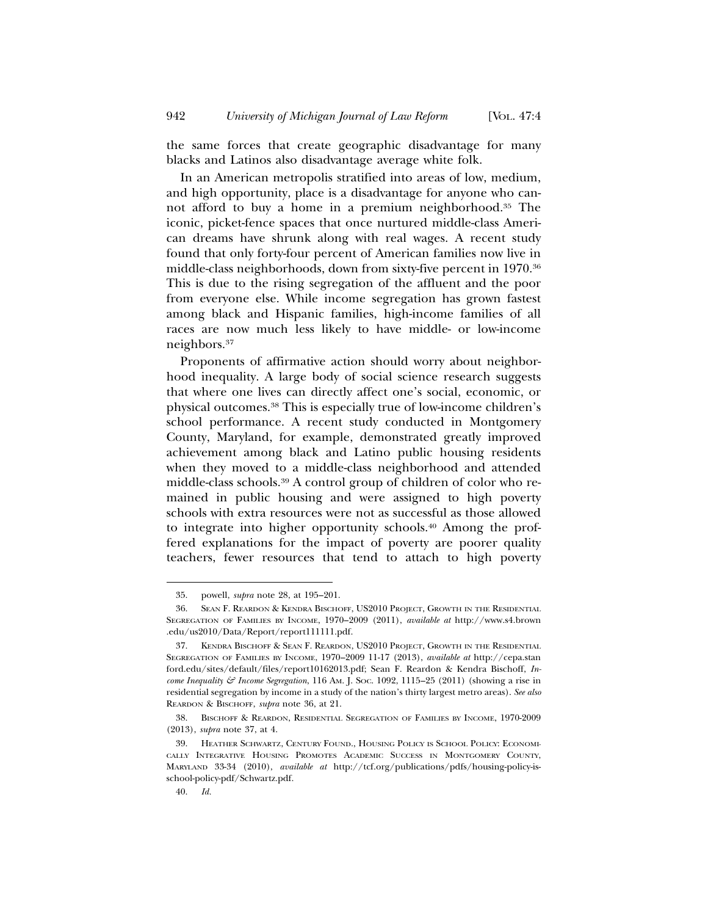the same forces that create geographic disadvantage for many blacks and Latinos also disadvantage average white folk.

In an American metropolis stratified into areas of low, medium, and high opportunity, place is a disadvantage for anyone who cannot afford to buy a home in a premium neighborhood.35 The iconic, picket-fence spaces that once nurtured middle-class American dreams have shrunk along with real wages. A recent study found that only forty-four percent of American families now live in middle-class neighborhoods, down from sixty-five percent in 1970.36 This is due to the rising segregation of the affluent and the poor from everyone else. While income segregation has grown fastest among black and Hispanic families, high-income families of all races are now much less likely to have middle- or low-income neighbors.37

Proponents of affirmative action should worry about neighborhood inequality. A large body of social science research suggests that where one lives can directly affect one's social, economic, or physical outcomes.38 This is especially true of low-income children's school performance. A recent study conducted in Montgomery County, Maryland, for example, demonstrated greatly improved achievement among black and Latino public housing residents when they moved to a middle-class neighborhood and attended middle-class schools.39 A control group of children of color who remained in public housing and were assigned to high poverty schools with extra resources were not as successful as those allowed to integrate into higher opportunity schools.40 Among the proffered explanations for the impact of poverty are poorer quality teachers, fewer resources that tend to attach to high poverty

<sup>35.</sup> powell, *supra* note 28, at 195–201.

<sup>36.</sup> SEAN F. REARDON & KENDRA BISCHOFF, US2010 PROJECT, GROWTH IN THE RESIDENTIAL SEGREGATION OF FAMILIES BY INCOME, 1970–2009 (2011), *available at* http://www.s4.brown .edu/us2010/Data/Report/report111111.pdf.

<sup>37.</sup> KENDRA BISCHOFF & SEAN F. REARDON, US2010 PROJECT, GROWTH IN THE RESIDENTIAL SEGREGATION OF FAMILIES BY INCOME, 1970–2009 11-17 (2013), *available at* http://cepa.stan ford.edu/sites/default/files/report10162013.pdf; Sean F. Reardon & Kendra Bischoff, *Income Inequality & Income Segregation*, 116 AM. J. SOC. 1092, 1115–25 (2011) (showing a rise in residential segregation by income in a study of the nation's thirty largest metro areas). *See also* REARDON & BISCHOFF, *supra* note 36, at 21.

<sup>38.</sup> BISCHOFF & REARDON, RESIDENTIAL SEGREGATION OF FAMILIES BY INCOME, 1970-2009 (2013), *supra* note 37, at 4.

<sup>39.</sup> HEATHER SCHWARTZ, CENTURY FOUND., HOUSING POLICY IS SCHOOL POLICY: ECONOMI-CALLY INTEGRATIVE HOUSING PROMOTES ACADEMIC SUCCESS IN MONTGOMERY COUNTY, MARYLAND 33-34 (2010), *available at* http://tcf.org/publications/pdfs/housing-policy-isschool-policy-pdf/Schwartz.pdf.

<sup>40.</sup> *Id.*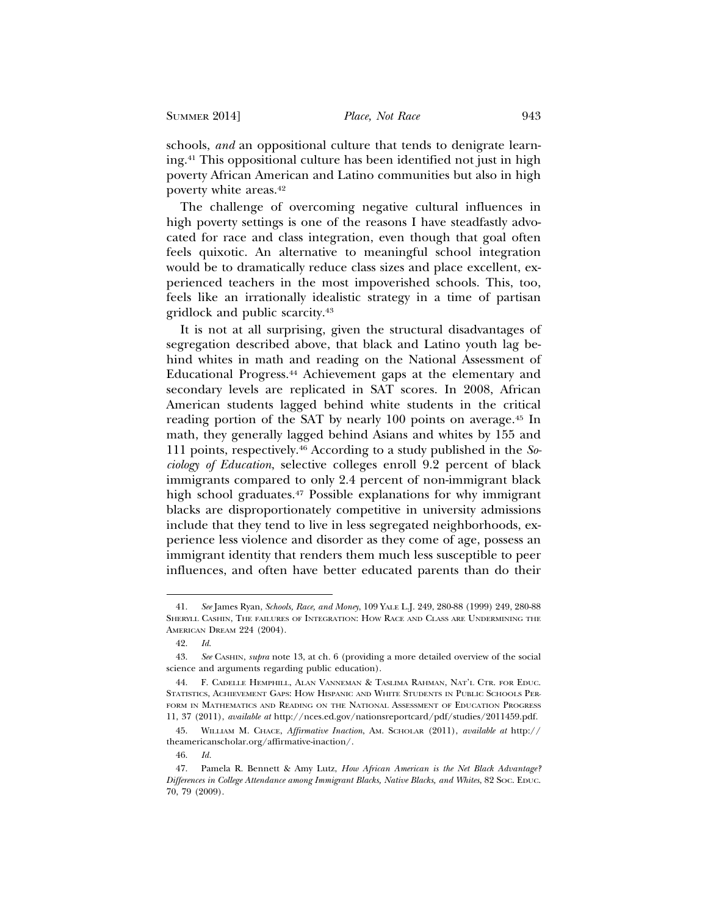schools, *and* an oppositional culture that tends to denigrate learning.41 This oppositional culture has been identified not just in high poverty African American and Latino communities but also in high poverty white areas.42

The challenge of overcoming negative cultural influences in high poverty settings is one of the reasons I have steadfastly advocated for race and class integration, even though that goal often feels quixotic. An alternative to meaningful school integration would be to dramatically reduce class sizes and place excellent, experienced teachers in the most impoverished schools. This, too, feels like an irrationally idealistic strategy in a time of partisan gridlock and public scarcity.43

It is not at all surprising, given the structural disadvantages of segregation described above, that black and Latino youth lag behind whites in math and reading on the National Assessment of Educational Progress.44 Achievement gaps at the elementary and secondary levels are replicated in SAT scores. In 2008, African American students lagged behind white students in the critical reading portion of the SAT by nearly 100 points on average.45 In math, they generally lagged behind Asians and whites by 155 and 111 points, respectively.46 According to a study published in the *Sociology of Education*, selective colleges enroll 9.2 percent of black immigrants compared to only 2.4 percent of non-immigrant black high school graduates.47 Possible explanations for why immigrant blacks are disproportionately competitive in university admissions include that they tend to live in less segregated neighborhoods, experience less violence and disorder as they come of age, possess an immigrant identity that renders them much less susceptible to peer influences, and often have better educated parents than do their

<sup>41.</sup> *See* James Ryan, *Schools, Race, and Money*, 109 YALE L.J. 249, 280-88 (1999) 249, 280-88 SHERYLL CASHIN, THE FAILURES OF INTEGRATION: HOW RACE AND CLASS ARE UNDERMINING THE AMERICAN DREAM 224 (2004).

<sup>42.</sup> *Id*.

<sup>43.</sup> *See* CASHIN, *supra* note 13, at ch. 6 (providing a more detailed overview of the social science and arguments regarding public education).

<sup>44.</sup> F. CADELLE HEMPHILL, ALAN VANNEMAN & TASLIMA RAHMAN, NAT'L CTR. FOR EDUC. STATISTICS, ACHIEVEMENT GAPS: HOW HISPANIC AND WHITE STUDENTS IN PUBLIC SCHOOLS PER-FORM IN MATHEMATICS AND READING ON THE NATIONAL ASSESSMENT OF EDUCATION PROGRESS 11, 37 (2011), *available at* http://nces.ed.gov/nationsreportcard/pdf/studies/2011459.pdf.

<sup>45.</sup> WILLIAM M. CHACE, *Affirmative Inaction*, AM. SCHOLAR (2011), *available at* http:// theamericanscholar.org/affirmative-inaction/.

<sup>46.</sup> *Id.*

<sup>47.</sup> Pamela R. Bennett & Amy Lutz, *How African American is the Net Black Advantage? Differences in College Attendance among Immigrant Blacks, Native Blacks, and Whites*, 82 SOC. EDUC. 70, 79 (2009).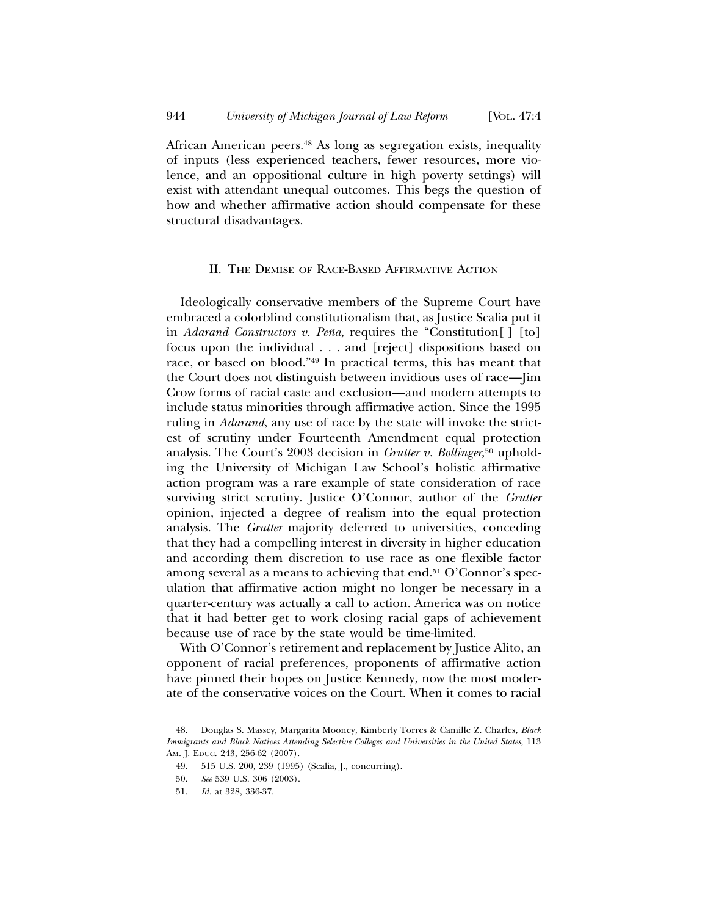African American peers.48 As long as segregation exists, inequality of inputs (less experienced teachers, fewer resources, more violence, and an oppositional culture in high poverty settings) will exist with attendant unequal outcomes. This begs the question of how and whether affirmative action should compensate for these structural disadvantages.

## II. THE DEMISE OF RACE-BASED AFFIRMATIVE ACTION

Ideologically conservative members of the Supreme Court have embraced a colorblind constitutionalism that, as Justice Scalia put it in *Adarand Constructors v. Peña*, requires the "Constitution [] [to] focus upon the individual . . . and [reject] dispositions based on race, or based on blood."49 In practical terms, this has meant that the Court does not distinguish between invidious uses of race—Jim Crow forms of racial caste and exclusion—and modern attempts to include status minorities through affirmative action. Since the 1995 ruling in *Adarand*, any use of race by the state will invoke the strictest of scrutiny under Fourteenth Amendment equal protection analysis. The Court's 2003 decision in *Grutter v. Bollinger*, 50 upholding the University of Michigan Law School's holistic affirmative action program was a rare example of state consideration of race surviving strict scrutiny. Justice O'Connor, author of the *Grutter* opinion, injected a degree of realism into the equal protection analysis. The *Grutter* majority deferred to universities, conceding that they had a compelling interest in diversity in higher education and according them discretion to use race as one flexible factor among several as a means to achieving that end.51 O'Connor's speculation that affirmative action might no longer be necessary in a quarter-century was actually a call to action. America was on notice that it had better get to work closing racial gaps of achievement because use of race by the state would be time-limited.

With O'Connor's retirement and replacement by Justice Alito, an opponent of racial preferences, proponents of affirmative action have pinned their hopes on Justice Kennedy, now the most moderate of the conservative voices on the Court. When it comes to racial

<sup>48.</sup> Douglas S. Massey, Margarita Mooney, Kimberly Torres & Camille Z. Charles, *Black Immigrants and Black Natives Attending Selective Colleges and Universities in the United States*, 113 AM. J. EDUC. 243, 256-62 (2007)*.*

<sup>49. 515</sup> U.S. 200, 239 (1995) (Scalia, J., concurring).

<sup>50.</sup> *See* 539 U.S. 306 (2003).

<sup>51.</sup> *Id.* at 328, 336-37.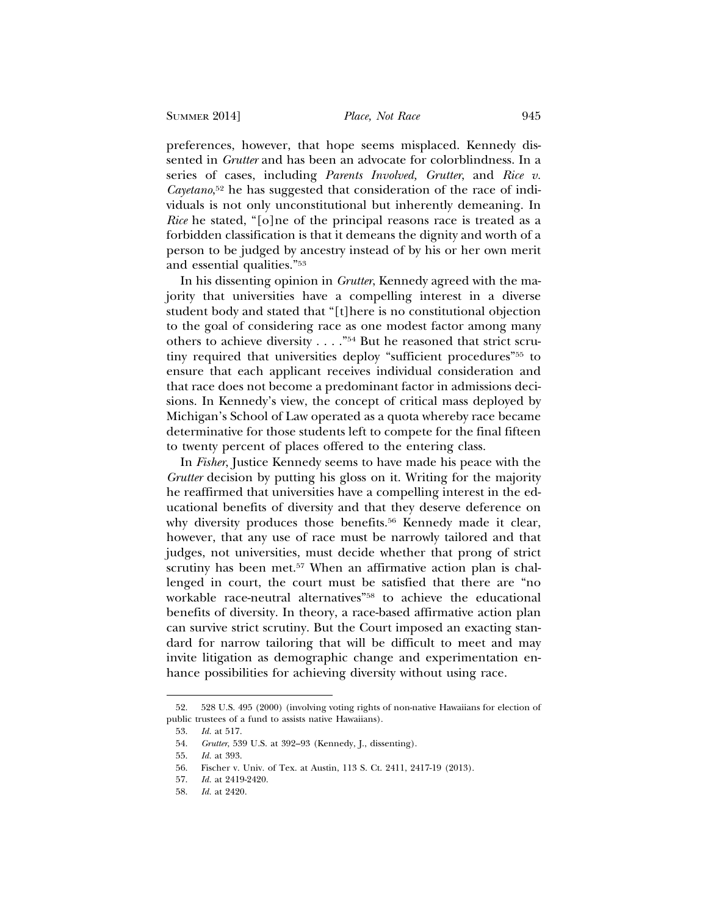preferences, however, that hope seems misplaced. Kennedy dissented in *Grutter* and has been an advocate for colorblindness. In a series of cases, including *Parents Involved, Grutter*, and *Rice v. Cayetano*, 52 he has suggested that consideration of the race of individuals is not only unconstitutional but inherently demeaning. In *Rice* he stated, "[o]ne of the principal reasons race is treated as a forbidden classification is that it demeans the dignity and worth of a person to be judged by ancestry instead of by his or her own merit and essential qualities."53

In his dissenting opinion in *Grutter*, Kennedy agreed with the majority that universities have a compelling interest in a diverse student body and stated that "[t]here is no constitutional objection to the goal of considering race as one modest factor among many others to achieve diversity . . . ."54 But he reasoned that strict scrutiny required that universities deploy "sufficient procedures"55 to ensure that each applicant receives individual consideration and that race does not become a predominant factor in admissions decisions. In Kennedy's view, the concept of critical mass deployed by Michigan's School of Law operated as a quota whereby race became determinative for those students left to compete for the final fifteen to twenty percent of places offered to the entering class.

In *Fisher*, Justice Kennedy seems to have made his peace with the *Grutter* decision by putting his gloss on it. Writing for the majority he reaffirmed that universities have a compelling interest in the educational benefits of diversity and that they deserve deference on why diversity produces those benefits.<sup>56</sup> Kennedy made it clear, however, that any use of race must be narrowly tailored and that judges, not universities, must decide whether that prong of strict scrutiny has been met.<sup>57</sup> When an affirmative action plan is challenged in court, the court must be satisfied that there are "no workable race-neutral alternatives"58 to achieve the educational benefits of diversity. In theory, a race-based affirmative action plan can survive strict scrutiny. But the Court imposed an exacting standard for narrow tailoring that will be difficult to meet and may invite litigation as demographic change and experimentation enhance possibilities for achieving diversity without using race.

<sup>52. 528</sup> U.S. 495 (2000) (involving voting rights of non-native Hawaiians for election of public trustees of a fund to assists native Hawaiians).

<sup>53.</sup> *Id.* at 517.

<sup>54.</sup> *Grutter*, 539 U.S. at 392–93 (Kennedy, J., dissenting).

<sup>55.</sup> *Id.* at 393.

<sup>56.</sup> Fischer v. Univ. of Tex. at Austin, 113 S. Ct. 2411, 2417-19 (2013).

<sup>57.</sup> *Id.* at 2419-2420.

<sup>58.</sup> *Id.* at 2420.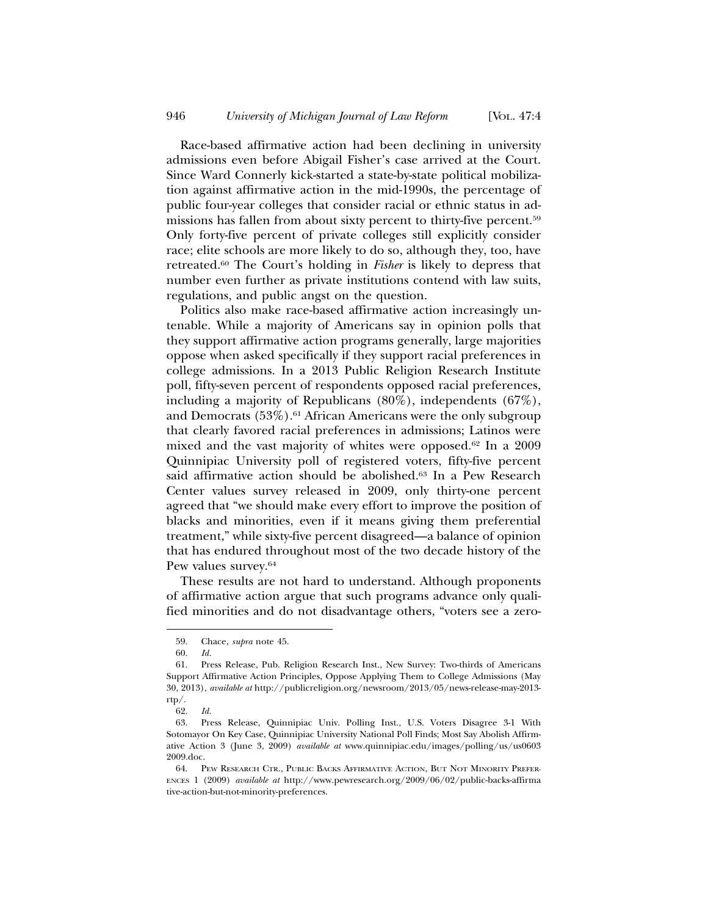Race-based affirmative action had been declining in university admissions even before Abigail Fisher's case arrived at the Court. Since Ward Connerly kick-started a state-by-state political mobilization against affirmative action in the mid-1990s, the percentage of public four-year colleges that consider racial or ethnic status in admissions has fallen from about sixty percent to thirty-five percent.59 Only forty-five percent of private colleges still explicitly consider race; elite schools are more likely to do so, although they, too, have retreated.60 The Court's holding in *Fisher* is likely to depress that number even further as private institutions contend with law suits, regulations, and public angst on the question.

Politics also make race-based affirmative action increasingly untenable. While a majority of Americans say in opinion polls that they support affirmative action programs generally, large majorities oppose when asked specifically if they support racial preferences in college admissions. In a 2013 Public Religion Research Institute poll, fifty-seven percent of respondents opposed racial preferences, including a majority of Republicans (80%), independents (67%), and Democrats  $(53\%)$ .<sup>61</sup> African Americans were the only subgroup that clearly favored racial preferences in admissions; Latinos were mixed and the vast majority of whites were opposed.62 In a 2009 Quinnipiac University poll of registered voters, fifty-five percent said affirmative action should be abolished.63 In a Pew Research Center values survey released in 2009, only thirty-one percent agreed that "we should make every effort to improve the position of blacks and minorities, even if it means giving them preferential treatment," while sixty-five percent disagreed—a balance of opinion that has endured throughout most of the two decade history of the Pew values survey.64

These results are not hard to understand. Although proponents of affirmative action argue that such programs advance only qualified minorities and do not disadvantage others, "voters see a zero-

<sup>59.</sup> Chace, *supra* note 45.

<sup>60.</sup> *Id.*

<sup>61.</sup> Press Release, Pub. Religion Research Inst., New Survey: Two-thirds of Americans Support Affirmative Action Principles, Oppose Applying Them to College Admissions (May 30, 2013), *available at* http://publicreligion.org/newsroom/2013/05/news-release-may-2013 rtp/.

<sup>62.</sup> *Id.*

<sup>63.</sup> Press Release, Quinnipiac Univ. Polling Inst., U.S. Voters Disagree 3-1 With Sotomayor On Key Case, Quinnipiac University National Poll Finds; Most Say Abolish Affirmative Action 3 (June 3, 2009) *available at* www.quinnipiac.edu/images/polling/us/us0603 2009.doc.

<sup>64.</sup> PEW RESEARCH CTR., PUBLIC BACKS AFFIRMATIVE ACTION, BUT NOT MINORITY PREFER-ENCES 1 (2009) *available at* http://www.pewresearch.org/2009/06/02/public-backs-affirma tive-action-but-not-minority-preferences.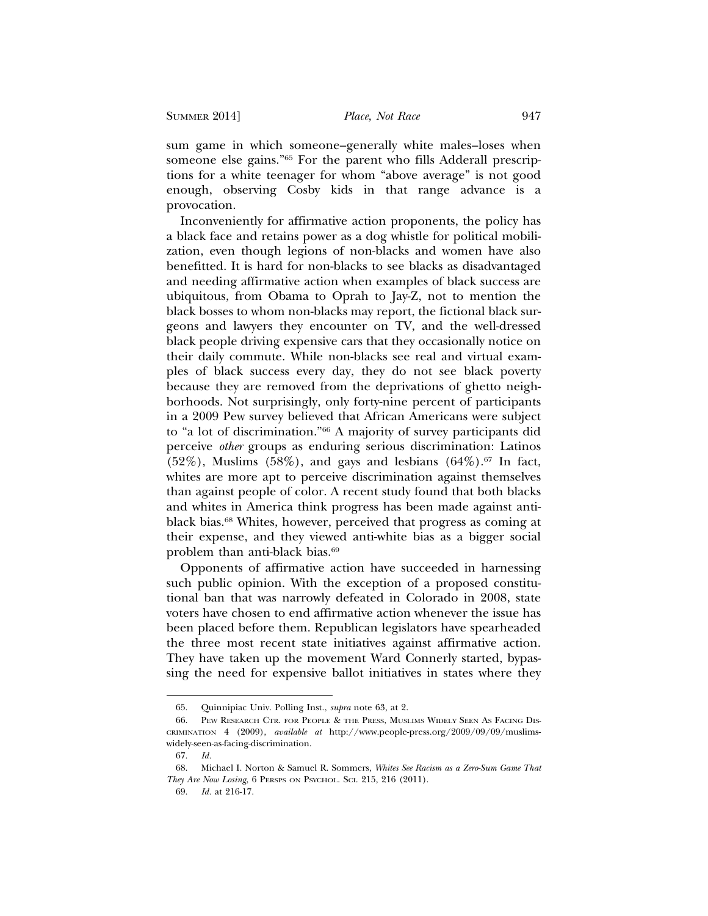sum game in which someone–generally white males–loses when someone else gains."65 For the parent who fills Adderall prescriptions for a white teenager for whom "above average" is not good enough, observing Cosby kids in that range advance is a provocation.

Inconveniently for affirmative action proponents, the policy has a black face and retains power as a dog whistle for political mobilization, even though legions of non-blacks and women have also benefitted. It is hard for non-blacks to see blacks as disadvantaged and needing affirmative action when examples of black success are ubiquitous, from Obama to Oprah to Jay-Z, not to mention the black bosses to whom non-blacks may report, the fictional black surgeons and lawyers they encounter on TV, and the well-dressed black people driving expensive cars that they occasionally notice on their daily commute. While non-blacks see real and virtual examples of black success every day, they do not see black poverty because they are removed from the deprivations of ghetto neighborhoods. Not surprisingly, only forty-nine percent of participants in a 2009 Pew survey believed that African Americans were subject to "a lot of discrimination."66 A majority of survey participants did perceive *other* groups as enduring serious discrimination: Latinos  $(52\%)$ , Muslims  $(58\%)$ , and gays and lesbians  $(64\%)$ .<sup>67</sup> In fact, whites are more apt to perceive discrimination against themselves than against people of color. A recent study found that both blacks and whites in America think progress has been made against antiblack bias.68 Whites, however, perceived that progress as coming at their expense, and they viewed anti-white bias as a bigger social problem than anti-black bias.69

Opponents of affirmative action have succeeded in harnessing such public opinion. With the exception of a proposed constitutional ban that was narrowly defeated in Colorado in 2008, state voters have chosen to end affirmative action whenever the issue has been placed before them. Republican legislators have spearheaded the three most recent state initiatives against affirmative action. They have taken up the movement Ward Connerly started, bypassing the need for expensive ballot initiatives in states where they

<sup>65.</sup> Quinnipiac Univ. Polling Inst., *supra* note 63, at 2.

<sup>66.</sup> PEW RESEARCH CTR. FOR PEOPLE & THE PRESS, MUSLIMS WIDELY SEEN AS FACING DIS-CRIMINATION 4 (2009), *available at* http://www.people-press.org/2009/09/09/muslimswidely-seen-as-facing-discrimination.

<sup>67.</sup> *Id.*

<sup>68.</sup> Michael I. Norton & Samuel R. Sommers, *Whites See Racism as a Zero-Sum Game That They Are Now Losing*, 6 PERSPS ON PSYCHOL. SCI. 215, 216 (2011).

<sup>69.</sup> *Id.* at 216-17.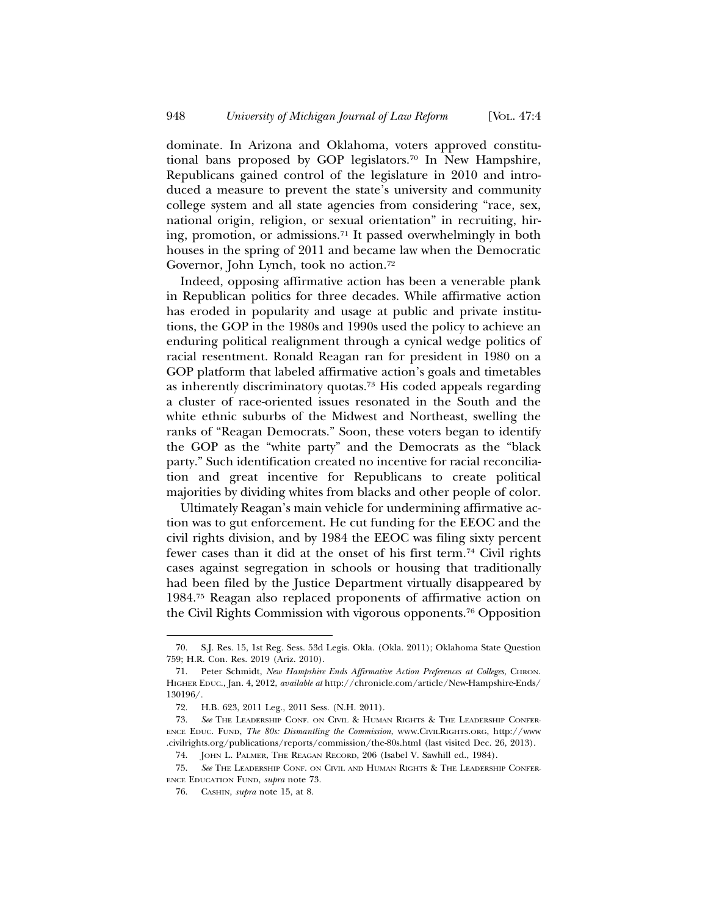dominate. In Arizona and Oklahoma, voters approved constitutional bans proposed by GOP legislators.70 In New Hampshire, Republicans gained control of the legislature in 2010 and introduced a measure to prevent the state's university and community college system and all state agencies from considering "race, sex, national origin, religion, or sexual orientation" in recruiting, hiring, promotion, or admissions.71 It passed overwhelmingly in both houses in the spring of 2011 and became law when the Democratic Governor, John Lynch, took no action.72

Indeed, opposing affirmative action has been a venerable plank in Republican politics for three decades. While affirmative action has eroded in popularity and usage at public and private institutions, the GOP in the 1980s and 1990s used the policy to achieve an enduring political realignment through a cynical wedge politics of racial resentment. Ronald Reagan ran for president in 1980 on a GOP platform that labeled affirmative action's goals and timetables as inherently discriminatory quotas.73 His coded appeals regarding a cluster of race-oriented issues resonated in the South and the white ethnic suburbs of the Midwest and Northeast, swelling the ranks of "Reagan Democrats." Soon, these voters began to identify the GOP as the "white party" and the Democrats as the "black party." Such identification created no incentive for racial reconciliation and great incentive for Republicans to create political majorities by dividing whites from blacks and other people of color.

Ultimately Reagan's main vehicle for undermining affirmative action was to gut enforcement. He cut funding for the EEOC and the civil rights division, and by 1984 the EEOC was filing sixty percent fewer cases than it did at the onset of his first term.74 Civil rights cases against segregation in schools or housing that traditionally had been filed by the Justice Department virtually disappeared by 1984.75 Reagan also replaced proponents of affirmative action on the Civil Rights Commission with vigorous opponents.76 Opposition

<sup>70.</sup> S.J. Res. 15, 1st Reg. Sess. 53d Legis. Okla. (Okla. 2011); Oklahoma State Question 759; H.R. Con. Res. 2019 (Ariz. 2010).

<sup>71.</sup> Peter Schmidt, *New Hampshire Ends Affirmative Action Preferences at Colleges*, CHRON. HIGHER EDUC., Jan. 4, 2012, *available at* http://chronicle.com/article/New-Hampshire-Ends/ 130196/.

<sup>72.</sup> H.B. 623, 2011 Leg., 2011 Sess. (N.H. 2011).

<sup>73.</sup> *See* THE LEADERSHIP CONF. ON CIVIL & HUMAN RIGHTS & THE LEADERSHIP CONFER-ENCE EDUC. FUND, *The 80s: Dismantling the Commission*, WWW.CIVILRIGHTS.ORG, http://www .civilrights.org/publications/reports/commission/the-80s.html (last visited Dec. 26, 2013). 74. JOHN L. PALMER, THE REAGAN RECORD, 206 (Isabel V. Sawhill ed., 1984).

<sup>75.</sup> *See* THE LEADERSHIP CONF. ON CIVIL AND HUMAN RIGHTS & THE LEADERSHIP CONFER-ENCE EDUCATION FUND, *supra* note 73.

<sup>76.</sup> CASHIN, *supra* note 15, at 8.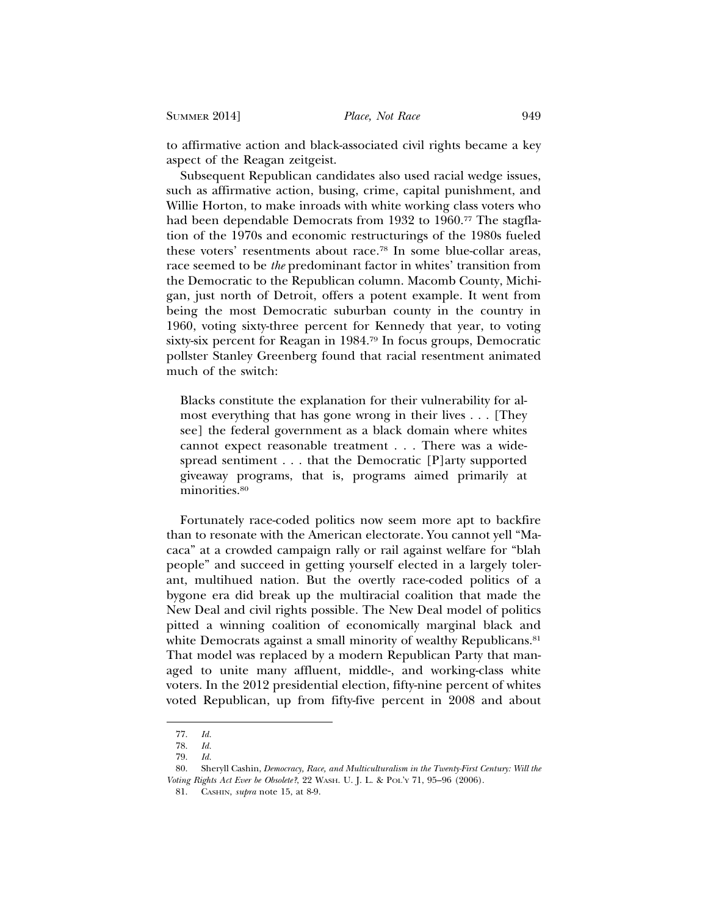to affirmative action and black-associated civil rights became a key aspect of the Reagan zeitgeist.

Subsequent Republican candidates also used racial wedge issues, such as affirmative action, busing, crime, capital punishment, and Willie Horton, to make inroads with white working class voters who had been dependable Democrats from 1932 to 1960.<sup>77</sup> The stagflation of the 1970s and economic restructurings of the 1980s fueled these voters' resentments about race.78 In some blue-collar areas, race seemed to be *the* predominant factor in whites' transition from the Democratic to the Republican column. Macomb County, Michigan, just north of Detroit, offers a potent example. It went from being the most Democratic suburban county in the country in 1960, voting sixty-three percent for Kennedy that year, to voting sixty-six percent for Reagan in 1984.79 In focus groups, Democratic pollster Stanley Greenberg found that racial resentment animated much of the switch:

Blacks constitute the explanation for their vulnerability for almost everything that has gone wrong in their lives . . . [They see] the federal government as a black domain where whites cannot expect reasonable treatment . . . There was a widespread sentiment . . . that the Democratic [P]arty supported giveaway programs, that is, programs aimed primarily at minorities.<sup>80</sup>

Fortunately race-coded politics now seem more apt to backfire than to resonate with the American electorate. You cannot yell "Macaca" at a crowded campaign rally or rail against welfare for "blah people" and succeed in getting yourself elected in a largely tolerant, multihued nation. But the overtly race-coded politics of a bygone era did break up the multiracial coalition that made the New Deal and civil rights possible. The New Deal model of politics pitted a winning coalition of economically marginal black and white Democrats against a small minority of wealthy Republicans.<sup>81</sup> That model was replaced by a modern Republican Party that managed to unite many affluent, middle-, and working-class white voters. In the 2012 presidential election, fifty-nine percent of whites voted Republican, up from fifty-five percent in 2008 and about

<sup>77.</sup> *Id.*

<sup>78.</sup> *Id.*

<sup>79.</sup> *Id.*

<sup>80.</sup> Sheryll Cashin, *Democracy, Race, and Multiculturalism in the Twenty-First Century: Will the Voting Rights Act Ever be Obsolete?*, 22 WASH. U. J. L. & POL'Y 71, 95–96 (2006).

<sup>81.</sup> CASHIN, *supra* note 15, at 8-9.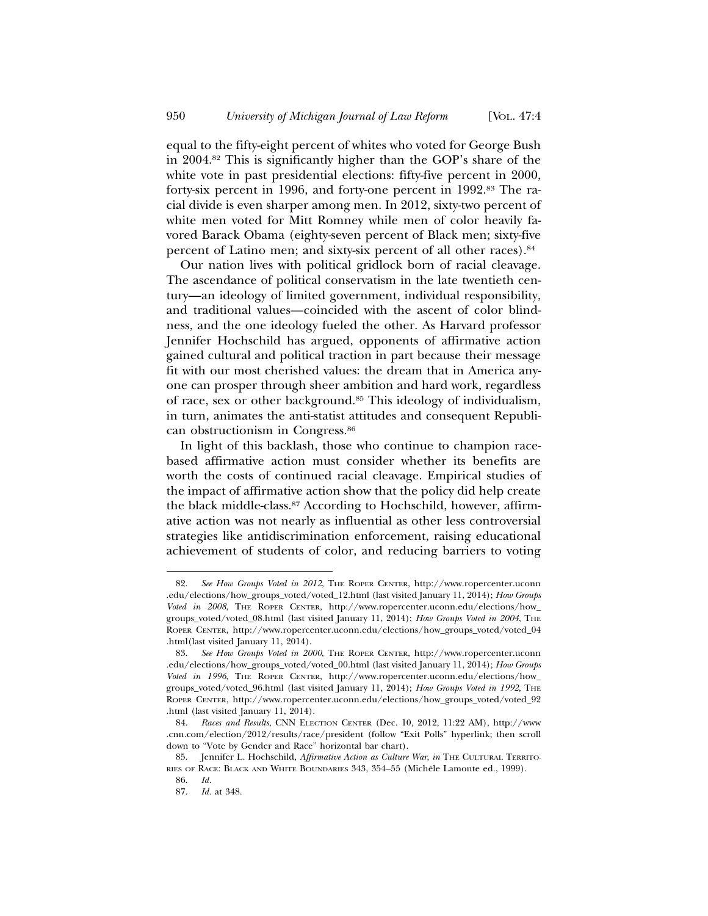equal to the fifty-eight percent of whites who voted for George Bush in 2004.82 This is significantly higher than the GOP's share of the white vote in past presidential elections: fifty-five percent in 2000, forty-six percent in 1996, and forty-one percent in 1992.83 The racial divide is even sharper among men. In 2012, sixty-two percent of white men voted for Mitt Romney while men of color heavily favored Barack Obama (eighty-seven percent of Black men; sixty-five percent of Latino men; and sixty-six percent of all other races).84

Our nation lives with political gridlock born of racial cleavage. The ascendance of political conservatism in the late twentieth century—an ideology of limited government, individual responsibility, and traditional values—coincided with the ascent of color blindness, and the one ideology fueled the other. As Harvard professor Jennifer Hochschild has argued, opponents of affirmative action gained cultural and political traction in part because their message fit with our most cherished values: the dream that in America anyone can prosper through sheer ambition and hard work, regardless of race, sex or other background.85 This ideology of individualism, in turn, animates the anti-statist attitudes and consequent Republican obstructionism in Congress.86

In light of this backlash, those who continue to champion racebased affirmative action must consider whether its benefits are worth the costs of continued racial cleavage. Empirical studies of the impact of affirmative action show that the policy did help create the black middle-class.87 According to Hochschild, however, affirmative action was not nearly as influential as other less controversial strategies like antidiscrimination enforcement, raising educational achievement of students of color, and reducing barriers to voting

<sup>82.</sup> See How Groups Voted in 2012, THE ROPER CENTER, http://www.ropercenter.uconn .edu/elections/how\_groups\_voted/voted\_12.html (last visited January 11, 2014); *How Groups Voted in 2008*, THE ROPER CENTER, http://www.ropercenter.uconn.edu/elections/how\_ groups\_voted/voted\_08.html (last visited January 11, 2014); *How Groups Voted in 2004*, THE ROPER CENTER, http://www.ropercenter.uconn.edu/elections/how\_groups\_voted/voted\_04 .html(last visited January 11, 2014).

<sup>83.</sup> *See How Groups Voted in 2000*, THE ROPER CENTER, http://www.ropercenter.uconn .edu/elections/how\_groups\_voted/voted\_00.html (last visited January 11, 2014); *How Groups Voted in 1996*, THE ROPER CENTER, http://www.ropercenter.uconn.edu/elections/how\_ groups\_voted/voted\_96.html (last visited January 11, 2014); *How Groups Voted in 1992*, THE ROPER CENTER, http://www.ropercenter.uconn.edu/elections/how\_groups\_voted/voted\_92 .html (last visited January 11, 2014).

<sup>84.</sup> *Races and Results*, CNN ELECTION CENTER (Dec. 10, 2012, 11:22 AM), http://www .cnn.com/election/2012/results/race/president (follow "Exit Polls" hyperlink; then scroll down to "Vote by Gender and Race" horizontal bar chart).

<sup>85.</sup> Jennifer L. Hochschild, *Affirmative Action as Culture War*, *in* THE CULTURAL TERRITO-RIES OF RACE: BLACK AND WHITE BOUNDARIES 343, 354–55 (Michele Lamonte ed., 1999). `

<sup>86.</sup> *Id.*

<sup>87.</sup> *Id.* at 348.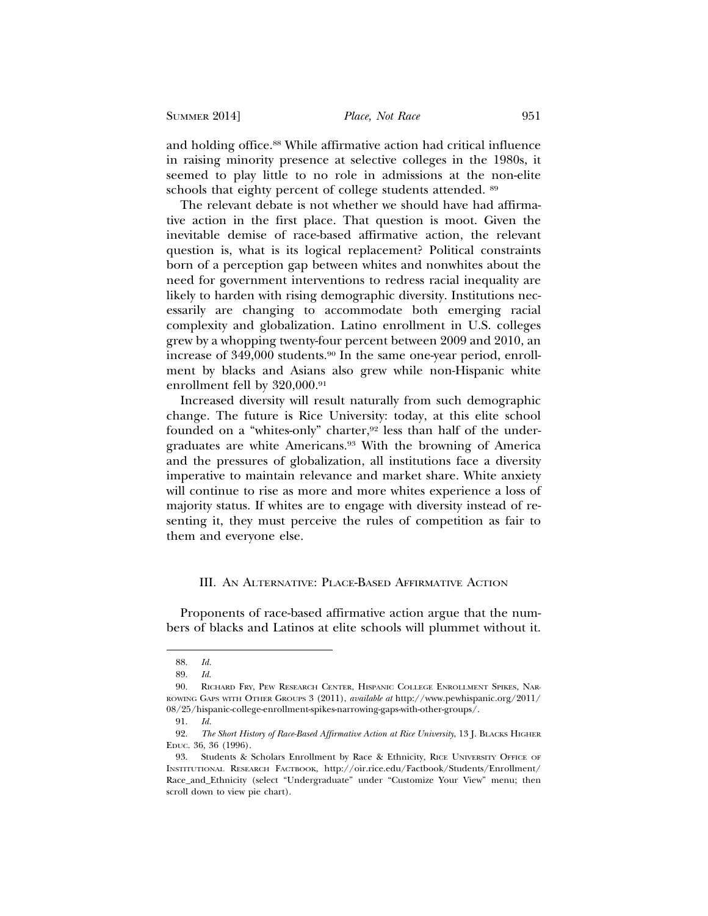and holding office.<sup>88</sup> While affirmative action had critical influence in raising minority presence at selective colleges in the 1980s, it seemed to play little to no role in admissions at the non-elite schools that eighty percent of college students attended. 89

The relevant debate is not whether we should have had affirmative action in the first place. That question is moot. Given the inevitable demise of race-based affirmative action, the relevant question is, what is its logical replacement? Political constraints born of a perception gap between whites and nonwhites about the need for government interventions to redress racial inequality are likely to harden with rising demographic diversity. Institutions necessarily are changing to accommodate both emerging racial complexity and globalization. Latino enrollment in U.S. colleges grew by a whopping twenty-four percent between 2009 and 2010, an increase of 349,000 students.<sup>90</sup> In the same one-year period, enrollment by blacks and Asians also grew while non-Hispanic white enrollment fell by 320,000.<sup>91</sup>

Increased diversity will result naturally from such demographic change. The future is Rice University: today, at this elite school founded on a "whites-only" charter,<sup>92</sup> less than half of the undergraduates are white Americans.93 With the browning of America and the pressures of globalization, all institutions face a diversity imperative to maintain relevance and market share. White anxiety will continue to rise as more and more whites experience a loss of majority status. If whites are to engage with diversity instead of resenting it, they must perceive the rules of competition as fair to them and everyone else.

## III. AN ALTERNATIVE: PLACE-BASED AFFIRMATIVE ACTION

Proponents of race-based affirmative action argue that the numbers of blacks and Latinos at elite schools will plummet without it.

<sup>88.</sup> *Id.*

<sup>89.</sup> *Id*.

<sup>90.</sup> RICHARD FRY, PEW RESEARCH CENTER, HISPANIC COLLEGE ENROLLMENT SPIKES, NAR-ROWING GAPS WITH OTHER GROUPS 3 (2011), *available at* http://www.pewhispanic.org/2011/ 08/25/hispanic-college-enrollment-spikes-narrowing-gaps-with-other-groups/.

<sup>91.</sup> *Id.*

<sup>92.</sup> *The Short History of Race-Based Affirmative Action at Rice University*, 13 J. BLACKS HIGHER EDUC. 36, 36 (1996).

<sup>93.</sup> Students & Scholars Enrollment by Race & Ethnicity, RICE UNIVERSITY OFFICE OF INSTITUTIONAL RESEARCH FACTBOOK, http://oir.rice.edu/Factbook/Students/Enrollment/ Race\_and\_Ethnicity (select "Undergraduate" under "Customize Your View" menu; then scroll down to view pie chart).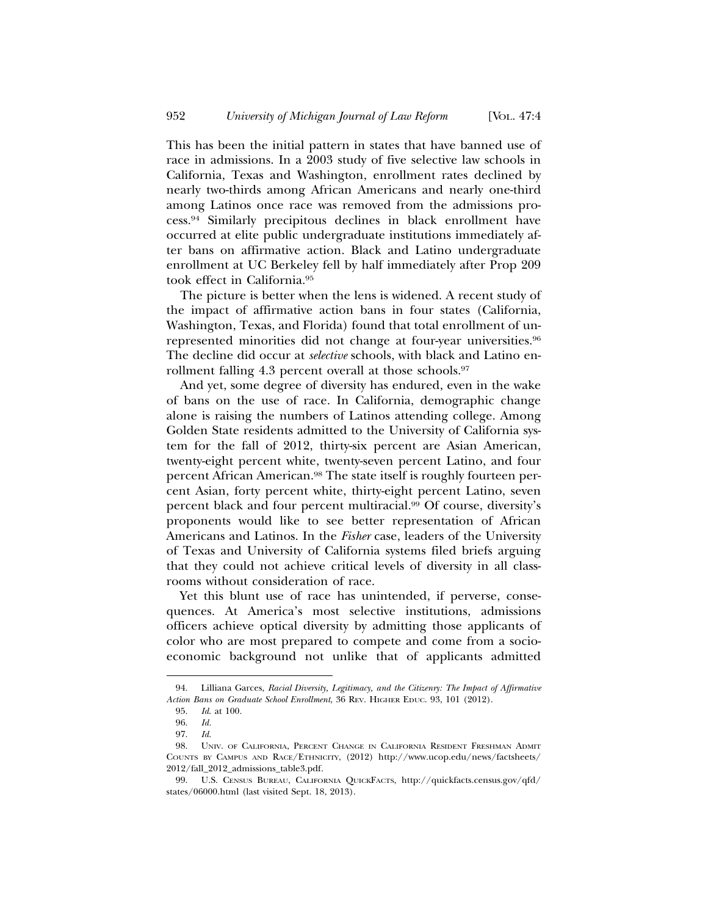This has been the initial pattern in states that have banned use of race in admissions. In a 2003 study of five selective law schools in California, Texas and Washington, enrollment rates declined by nearly two-thirds among African Americans and nearly one-third among Latinos once race was removed from the admissions process.94 Similarly precipitous declines in black enrollment have occurred at elite public undergraduate institutions immediately after bans on affirmative action. Black and Latino undergraduate enrollment at UC Berkeley fell by half immediately after Prop 209 took effect in California.95

The picture is better when the lens is widened. A recent study of the impact of affirmative action bans in four states (California, Washington, Texas, and Florida) found that total enrollment of unrepresented minorities did not change at four-year universities.96 The decline did occur at *selective* schools, with black and Latino enrollment falling 4.3 percent overall at those schools.<sup>97</sup>

And yet, some degree of diversity has endured, even in the wake of bans on the use of race. In California, demographic change alone is raising the numbers of Latinos attending college. Among Golden State residents admitted to the University of California system for the fall of 2012, thirty-six percent are Asian American, twenty-eight percent white, twenty-seven percent Latino, and four percent African American.<sup>98</sup> The state itself is roughly fourteen percent Asian, forty percent white, thirty-eight percent Latino, seven percent black and four percent multiracial.99 Of course, diversity's proponents would like to see better representation of African Americans and Latinos. In the *Fisher* case, leaders of the University of Texas and University of California systems filed briefs arguing that they could not achieve critical levels of diversity in all classrooms without consideration of race.

Yet this blunt use of race has unintended, if perverse, consequences. At America's most selective institutions, admissions officers achieve optical diversity by admitting those applicants of color who are most prepared to compete and come from a socioeconomic background not unlike that of applicants admitted

<sup>94.</sup> Lilliana Garces, *Racial Diversity, Legitimacy, and the Citizenry: The Impact of Affirmative Action Bans on Graduate School Enrollment*, 36 REV. HIGHER EDUC. 93, 101 (2012).

<sup>95.</sup> *Id*. at 100.

<sup>96.</sup> *Id.*

<sup>97.</sup> *Id*.

<sup>98.</sup> UNIV. OF CALIFORNIA, PERCENT CHANGE IN CALIFORNIA RESIDENT FRESHMAN ADMIT COUNTS BY CAMPUS AND RACE/ETHNICITY, (2012) http://www.ucop.edu/news/factsheets/ 2012/fall\_2012\_admissions\_table3.pdf.

<sup>99.</sup> U.S. CENSUS BUREAU, CALIFORNIA QUICKFACTS, http://quickfacts.census.gov/qfd/ states/06000.html (last visited Sept. 18, 2013).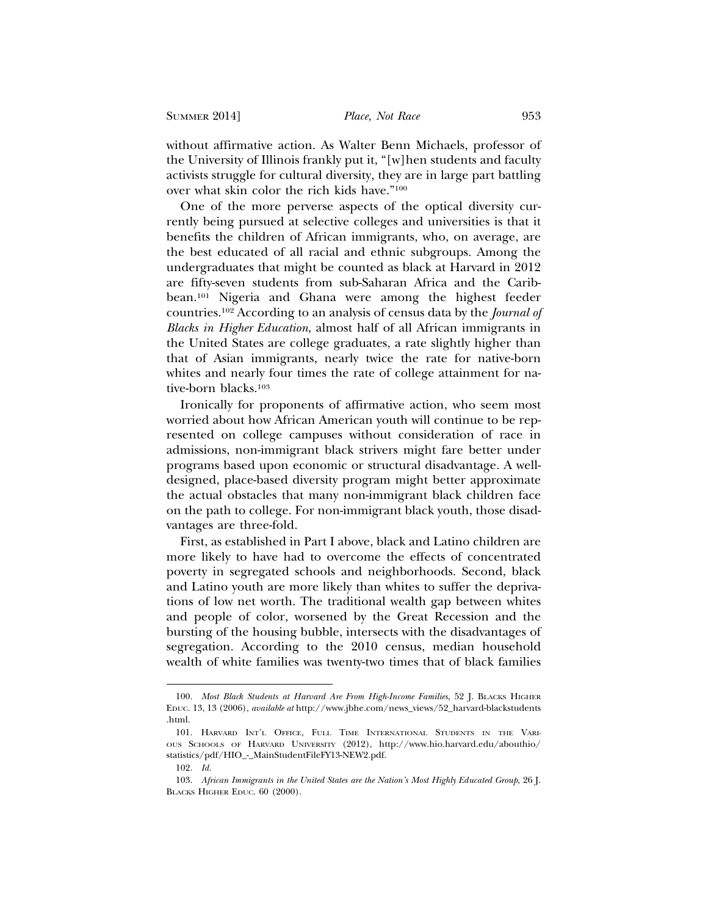without affirmative action. As Walter Benn Michaels, professor of the University of Illinois frankly put it, "[w]hen students and faculty activists struggle for cultural diversity, they are in large part battling over what skin color the rich kids have."100

One of the more perverse aspects of the optical diversity currently being pursued at selective colleges and universities is that it benefits the children of African immigrants, who, on average, are the best educated of all racial and ethnic subgroups. Among the undergraduates that might be counted as black at Harvard in 2012 are fifty-seven students from sub-Saharan Africa and the Caribbean.101 Nigeria and Ghana were among the highest feeder countries.102 According to an analysis of census data by the *Journal of Blacks in Higher Education*, almost half of all African immigrants in the United States are college graduates, a rate slightly higher than that of Asian immigrants, nearly twice the rate for native-born whites and nearly four times the rate of college attainment for native-born blacks.103

Ironically for proponents of affirmative action, who seem most worried about how African American youth will continue to be represented on college campuses without consideration of race in admissions, non-immigrant black strivers might fare better under programs based upon economic or structural disadvantage. A welldesigned, place-based diversity program might better approximate the actual obstacles that many non-immigrant black children face on the path to college. For non-immigrant black youth, those disadvantages are three-fold.

First, as established in Part I above, black and Latino children are more likely to have had to overcome the effects of concentrated poverty in segregated schools and neighborhoods. Second, black and Latino youth are more likely than whites to suffer the deprivations of low net worth. The traditional wealth gap between whites and people of color, worsened by the Great Recession and the bursting of the housing bubble, intersects with the disadvantages of segregation. According to the 2010 census, median household wealth of white families was twenty-two times that of black families

<sup>100.</sup> *Most Black Students at Harvard Are From High-Income Families*, 52 J. BLACKS HIGHER EDUC. 13, 13 (2006), *available at* http://www.jbhe.com/news\_views/52\_harvard-blackstudents .html.

<sup>101.</sup> HARVARD INT'L OFFICE, FULL TIME INTERNATIONAL STUDENTS IN THE VARI-OUS SCHOOLS OF HARVARD UNIVERSITY (2012), http://www.hio.harvard.edu/abouthio/ statistics/pdf/HIO\_-\_MainStudentFileFY13-NEW2.pdf.

<sup>102.</sup> *Id.*

<sup>103.</sup> *African Immigrants in the United States are the Nation's Most Highly Educated Group*, 26 J. BLACKS HIGHER EDUC. 60 (2000).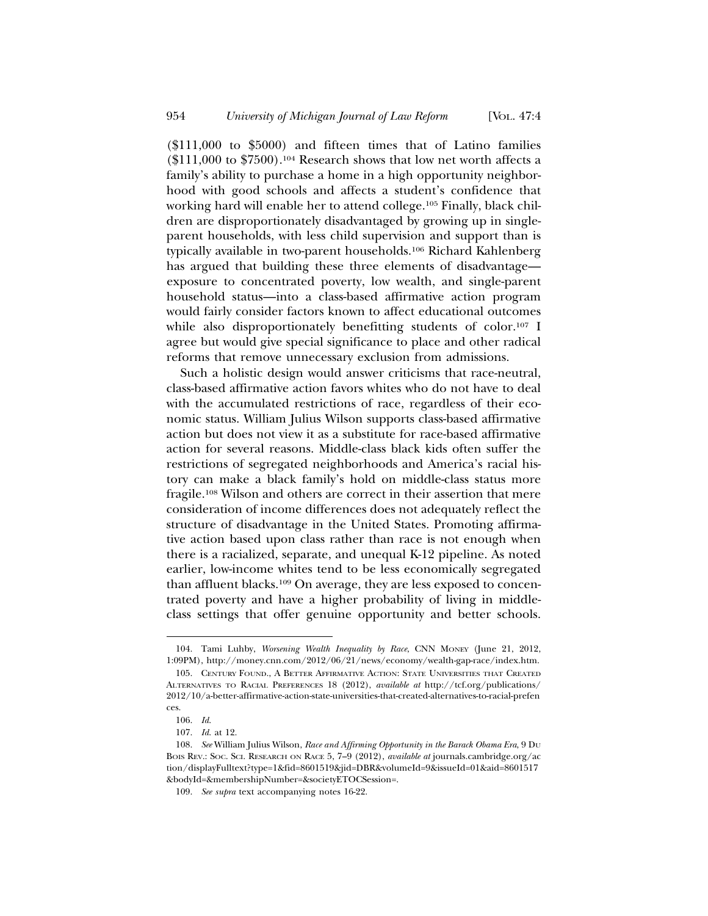(\$111,000 to \$5000) and fifteen times that of Latino families  $($111,000$  to  $$7500$ ).<sup>104</sup> Research shows that low net worth affects a family's ability to purchase a home in a high opportunity neighborhood with good schools and affects a student's confidence that working hard will enable her to attend college.105 Finally, black children are disproportionately disadvantaged by growing up in singleparent households, with less child supervision and support than is typically available in two-parent households.106 Richard Kahlenberg has argued that building these three elements of disadvantage exposure to concentrated poverty, low wealth, and single-parent household status—into a class-based affirmative action program would fairly consider factors known to affect educational outcomes while also disproportionately benefitting students of color.<sup>107</sup> I agree but would give special significance to place and other radical reforms that remove unnecessary exclusion from admissions.

Such a holistic design would answer criticisms that race-neutral, class-based affirmative action favors whites who do not have to deal with the accumulated restrictions of race, regardless of their economic status. William Julius Wilson supports class-based affirmative action but does not view it as a substitute for race-based affirmative action for several reasons. Middle-class black kids often suffer the restrictions of segregated neighborhoods and America's racial history can make a black family's hold on middle-class status more fragile.108 Wilson and others are correct in their assertion that mere consideration of income differences does not adequately reflect the structure of disadvantage in the United States. Promoting affirmative action based upon class rather than race is not enough when there is a racialized, separate, and unequal K-12 pipeline. As noted earlier, low-income whites tend to be less economically segregated than affluent blacks.109 On average, they are less exposed to concentrated poverty and have a higher probability of living in middleclass settings that offer genuine opportunity and better schools.

<sup>104.</sup> Tami Luhby, *Worsening Wealth Inequality by Race*, CNN MONEY (June 21, 2012, 1:09PM), http://money.cnn.com/2012/06/21/news/economy/wealth-gap-race/index.htm.

<sup>105.</sup> CENTURY FOUND., A BETTER AFFIRMATIVE ACTION: STATE UNIVERSITIES THAT CREATED ALTERNATIVES TO RACIAL PREFERENCES 18 (2012), *available at* http://tcf.org/publications/ 2012/10/a-better-affirmative-action-state-universities-that-created-alternatives-to-racial-prefen ces.

<sup>106.</sup> *Id*.

<sup>107.</sup> *Id*. at 12.

<sup>108.</sup> *See* William Julius Wilson, *Race and Affirming Opportunity in the Barack Obama Era*, 9 DU BOIS REV.: SOC. SCI. RESEARCH ON RACE 5, 7–9 (2012), *available at* journals.cambridge.org/ac tion/displayFulltext?type=1&fid=8601519&jid=DBR&volumeId=9&issueId=01&aid=8601517 &bodyId=&membershipNumber=&societyETOCSession=.

<sup>109.</sup> *See supra* text accompanying notes 16-22.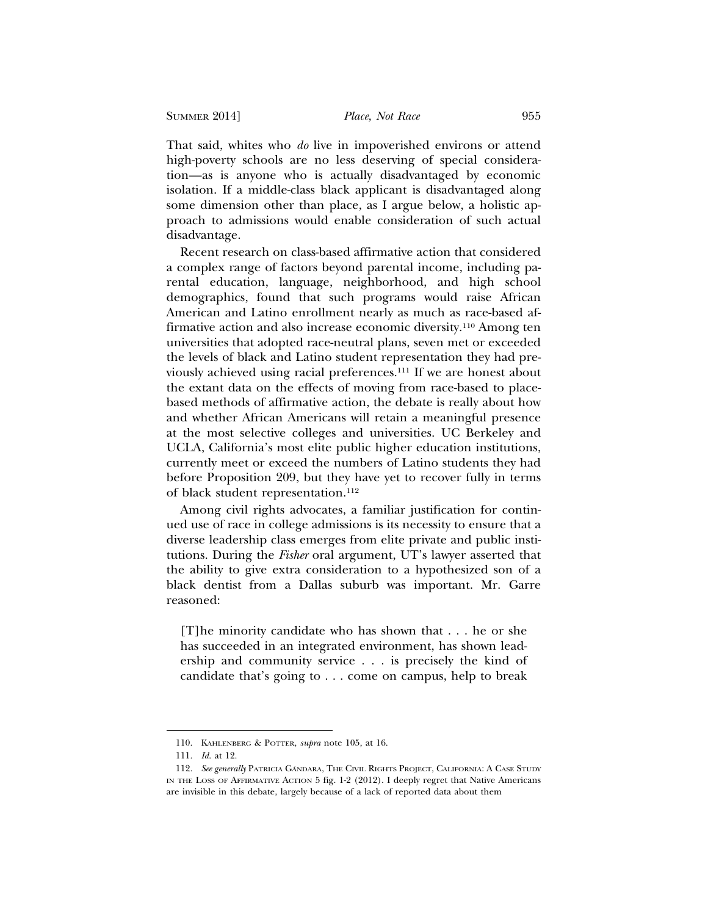That said, whites who *do* live in impoverished environs or attend high-poverty schools are no less deserving of special consideration—as is anyone who is actually disadvantaged by economic isolation. If a middle-class black applicant is disadvantaged along some dimension other than place, as I argue below, a holistic approach to admissions would enable consideration of such actual disadvantage.

Recent research on class-based affirmative action that considered a complex range of factors beyond parental income, including parental education, language, neighborhood, and high school demographics, found that such programs would raise African American and Latino enrollment nearly as much as race-based affirmative action and also increase economic diversity.110 Among ten universities that adopted race-neutral plans, seven met or exceeded the levels of black and Latino student representation they had previously achieved using racial preferences.111 If we are honest about the extant data on the effects of moving from race-based to placebased methods of affirmative action, the debate is really about how and whether African Americans will retain a meaningful presence at the most selective colleges and universities. UC Berkeley and UCLA, California's most elite public higher education institutions, currently meet or exceed the numbers of Latino students they had before Proposition 209, but they have yet to recover fully in terms of black student representation.112

Among civil rights advocates, a familiar justification for continued use of race in college admissions is its necessity to ensure that a diverse leadership class emerges from elite private and public institutions. During the *Fisher* oral argument, UT's lawyer asserted that the ability to give extra consideration to a hypothesized son of a black dentist from a Dallas suburb was important. Mr. Garre reasoned:

[T]he minority candidate who has shown that . . . he or she has succeeded in an integrated environment, has shown leadership and community service . . . is precisely the kind of candidate that's going to . . . come on campus, help to break

<sup>110.</sup> KAHLENBERG & POTTER, *supra* note 105, at 16.

<sup>111.</sup> *Id*. at 12.

<sup>112.</sup> See generally PATRICIA GÁNDARA, THE CIVIL RIGHTS PROJECT, CALIFORNIA: A CASE STUDY IN THE LOSS OF AFFIRMATIVE ACTION 5 fig. 1-2 (2012). I deeply regret that Native Americans are invisible in this debate, largely because of a lack of reported data about them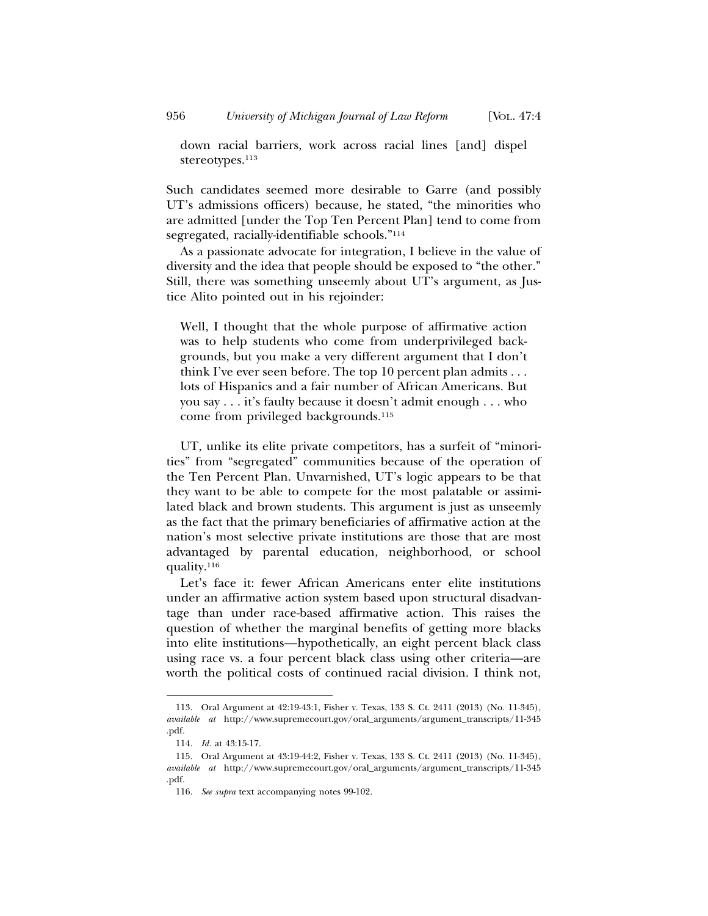down racial barriers, work across racial lines [and] dispel stereotypes.<sup>113</sup>

Such candidates seemed more desirable to Garre (and possibly UT's admissions officers) because, he stated, "the minorities who are admitted [under the Top Ten Percent Plan] tend to come from segregated, racially-identifiable schools."114

As a passionate advocate for integration, I believe in the value of diversity and the idea that people should be exposed to "the other." Still, there was something unseemly about UT's argument, as Justice Alito pointed out in his rejoinder:

Well, I thought that the whole purpose of affirmative action was to help students who come from underprivileged backgrounds, but you make a very different argument that I don't think I've ever seen before. The top 10 percent plan admits . . . lots of Hispanics and a fair number of African Americans. But you say . . . it's faulty because it doesn't admit enough . . . who come from privileged backgrounds.115

UT, unlike its elite private competitors, has a surfeit of "minorities" from "segregated" communities because of the operation of the Ten Percent Plan. Unvarnished, UT's logic appears to be that they want to be able to compete for the most palatable or assimilated black and brown students. This argument is just as unseemly as the fact that the primary beneficiaries of affirmative action at the nation's most selective private institutions are those that are most advantaged by parental education, neighborhood, or school quality.116

Let's face it: fewer African Americans enter elite institutions under an affirmative action system based upon structural disadvantage than under race-based affirmative action. This raises the question of whether the marginal benefits of getting more blacks into elite institutions—hypothetically, an eight percent black class using race vs. a four percent black class using other criteria—are worth the political costs of continued racial division. I think not,

<sup>113.</sup> Oral Argument at 42:19-43:1, Fisher v. Texas, 133 S. Ct. 2411 (2013) (No. 11-345), *available at* http://www.supremecourt.gov/oral\_arguments/argument\_transcripts/11-345 .pdf.

<sup>114.</sup> *Id.* at 43:15-17.

<sup>115.</sup> Oral Argument at 43:19-44:2, Fisher v. Texas, 133 S. Ct. 2411 (2013) (No. 11-345), *available at* http://www.supremecourt.gov/oral\_arguments/argument\_transcripts/11-345 .pdf.

<sup>116.</sup> *See supra* text accompanying notes 99-102.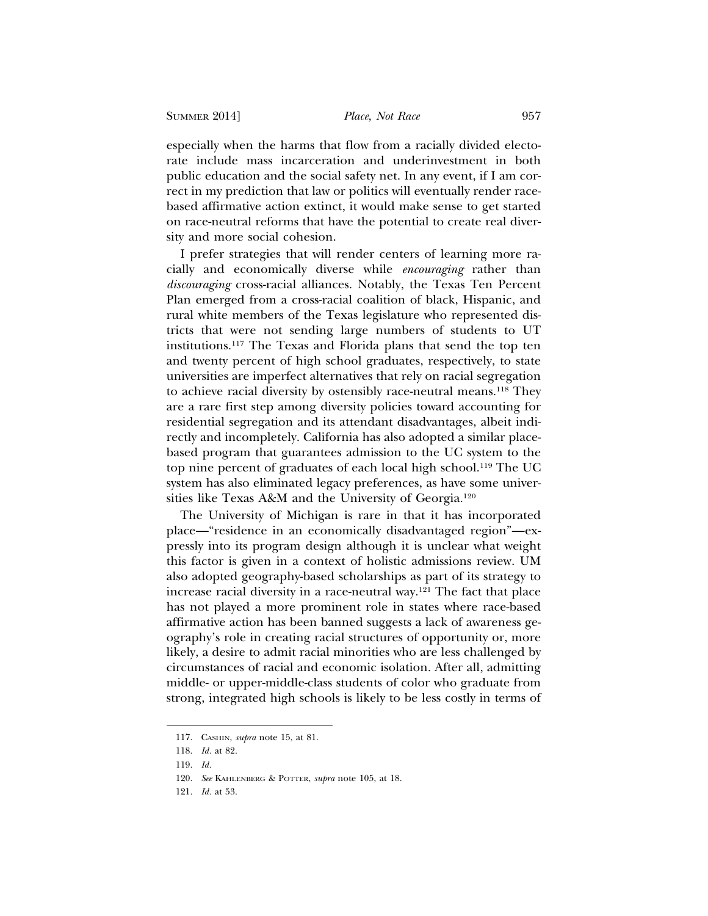especially when the harms that flow from a racially divided electorate include mass incarceration and underinvestment in both public education and the social safety net. In any event, if I am correct in my prediction that law or politics will eventually render racebased affirmative action extinct, it would make sense to get started on race-neutral reforms that have the potential to create real diversity and more social cohesion.

I prefer strategies that will render centers of learning more racially and economically diverse while *encouraging* rather than *discouraging* cross-racial alliances. Notably, the Texas Ten Percent Plan emerged from a cross-racial coalition of black, Hispanic, and rural white members of the Texas legislature who represented districts that were not sending large numbers of students to UT institutions.117 The Texas and Florida plans that send the top ten and twenty percent of high school graduates, respectively, to state universities are imperfect alternatives that rely on racial segregation to achieve racial diversity by ostensibly race-neutral means.118 They are a rare first step among diversity policies toward accounting for residential segregation and its attendant disadvantages, albeit indirectly and incompletely. California has also adopted a similar placebased program that guarantees admission to the UC system to the top nine percent of graduates of each local high school.119 The UC system has also eliminated legacy preferences, as have some universities like Texas A&M and the University of Georgia.120

The University of Michigan is rare in that it has incorporated place—"residence in an economically disadvantaged region"—expressly into its program design although it is unclear what weight this factor is given in a context of holistic admissions review. UM also adopted geography-based scholarships as part of its strategy to increase racial diversity in a race-neutral way.121 The fact that place has not played a more prominent role in states where race-based affirmative action has been banned suggests a lack of awareness geography's role in creating racial structures of opportunity or, more likely, a desire to admit racial minorities who are less challenged by circumstances of racial and economic isolation. After all, admitting middle- or upper-middle-class students of color who graduate from strong, integrated high schools is likely to be less costly in terms of

<sup>117.</sup> CASHIN, *supra* note 15, at 81.

<sup>118.</sup> *Id.* at 82.

<sup>119.</sup> *Id.*

<sup>120.</sup> *See* KAHLENBERG & POTTER, *supra* note 105, at 18.

<sup>121.</sup> *Id.* at 53.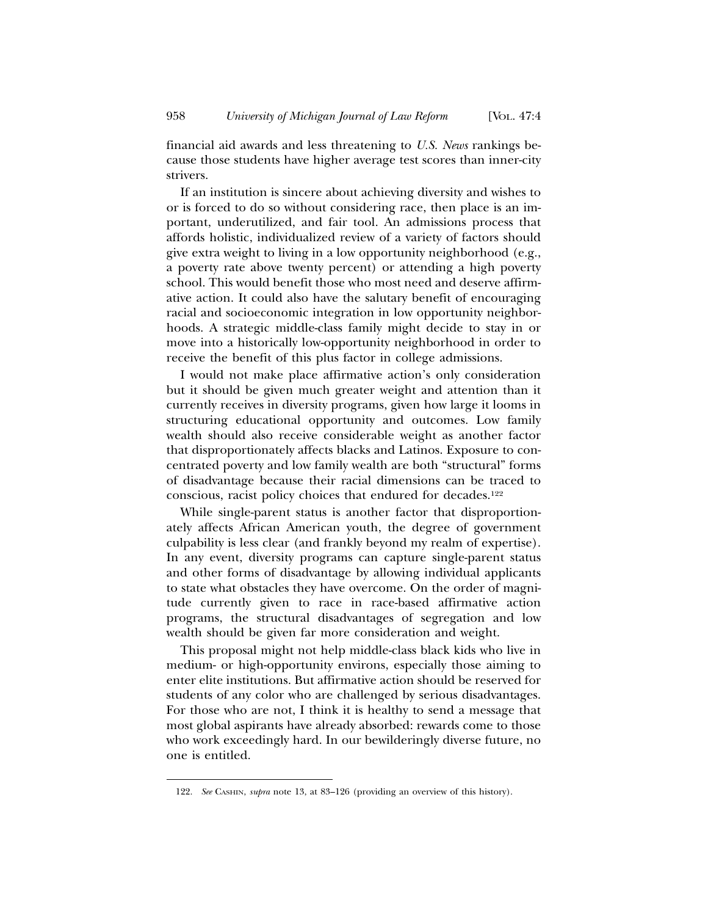financial aid awards and less threatening to *U.S. News* rankings because those students have higher average test scores than inner-city strivers.

If an institution is sincere about achieving diversity and wishes to or is forced to do so without considering race, then place is an important, underutilized, and fair tool. An admissions process that affords holistic, individualized review of a variety of factors should give extra weight to living in a low opportunity neighborhood (e.g., a poverty rate above twenty percent) or attending a high poverty school. This would benefit those who most need and deserve affirmative action. It could also have the salutary benefit of encouraging racial and socioeconomic integration in low opportunity neighborhoods. A strategic middle-class family might decide to stay in or move into a historically low-opportunity neighborhood in order to receive the benefit of this plus factor in college admissions.

I would not make place affirmative action's only consideration but it should be given much greater weight and attention than it currently receives in diversity programs, given how large it looms in structuring educational opportunity and outcomes. Low family wealth should also receive considerable weight as another factor that disproportionately affects blacks and Latinos. Exposure to concentrated poverty and low family wealth are both "structural" forms of disadvantage because their racial dimensions can be traced to conscious, racist policy choices that endured for decades.122

While single-parent status is another factor that disproportionately affects African American youth, the degree of government culpability is less clear (and frankly beyond my realm of expertise). In any event, diversity programs can capture single-parent status and other forms of disadvantage by allowing individual applicants to state what obstacles they have overcome. On the order of magnitude currently given to race in race-based affirmative action programs, the structural disadvantages of segregation and low wealth should be given far more consideration and weight.

This proposal might not help middle-class black kids who live in medium- or high-opportunity environs, especially those aiming to enter elite institutions. But affirmative action should be reserved for students of any color who are challenged by serious disadvantages. For those who are not, I think it is healthy to send a message that most global aspirants have already absorbed: rewards come to those who work exceedingly hard. In our bewilderingly diverse future, no one is entitled.

<sup>122.</sup> *See* CASHIN, *supra* note 13, at 83–126 (providing an overview of this history).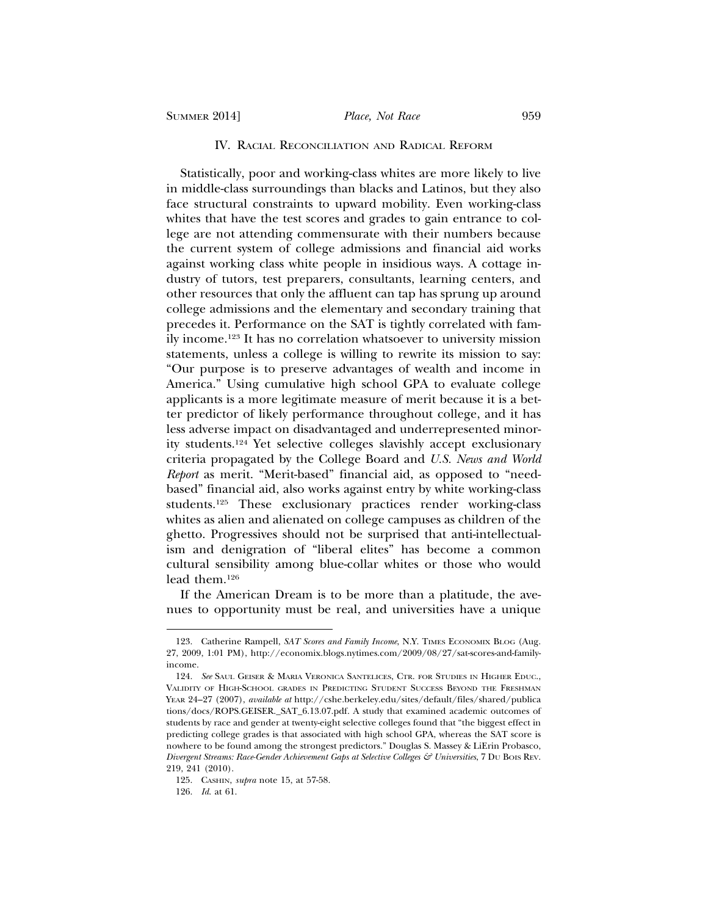#### IV. RACIAL RECONCILIATION AND RADICAL REFORM

Statistically, poor and working-class whites are more likely to live in middle-class surroundings than blacks and Latinos, but they also face structural constraints to upward mobility. Even working-class whites that have the test scores and grades to gain entrance to college are not attending commensurate with their numbers because the current system of college admissions and financial aid works against working class white people in insidious ways. A cottage industry of tutors, test preparers, consultants, learning centers, and other resources that only the affluent can tap has sprung up around college admissions and the elementary and secondary training that precedes it. Performance on the SAT is tightly correlated with family income.123 It has no correlation whatsoever to university mission statements, unless a college is willing to rewrite its mission to say: "Our purpose is to preserve advantages of wealth and income in America." Using cumulative high school GPA to evaluate college applicants is a more legitimate measure of merit because it is a better predictor of likely performance throughout college, and it has less adverse impact on disadvantaged and underrepresented minority students.124 Yet selective colleges slavishly accept exclusionary criteria propagated by the College Board and *U.S. News and World Report* as merit. "Merit-based" financial aid, as opposed to "needbased" financial aid, also works against entry by white working-class students.125 These exclusionary practices render working-class whites as alien and alienated on college campuses as children of the ghetto. Progressives should not be surprised that anti-intellectualism and denigration of "liberal elites" has become a common cultural sensibility among blue-collar whites or those who would lead them.126

If the American Dream is to be more than a platitude, the avenues to opportunity must be real, and universities have a unique

<sup>123.</sup> Catherine Rampell, *SAT Scores and Family Income*, N.Y. TIMES ECONOMIX BLOG (Aug. 27, 2009, 1:01 PM), http://economix.blogs.nytimes.com/2009/08/27/sat-scores-and-familyincome.

<sup>124.</sup> *See* SAUL GEISER & MARIA VERONICA SANTELICES, CTR. FOR STUDIES IN HIGHER EDUC., VALIDITY OF HIGH-SCHOOL GRADES IN PREDICTING STUDENT SUCCESS BEYOND THE FRESHMAN YEAR 24–27 (2007), *available at* http://cshe.berkeley.edu/sites/default/files/shared/publica tions/docs/ROPS.GEISER.\_SAT\_6.13.07.pdf. A study that examined academic outcomes of students by race and gender at twenty-eight selective colleges found that "the biggest effect in predicting college grades is that associated with high school GPA, whereas the SAT score is nowhere to be found among the strongest predictors." Douglas S. Massey & LiErin Probasco, *Divergent Streams: Race-Gender Achievement Gaps at Selective Colleges & Universities*, 7 DU BOIS REV. 219, 241 (2010).

<sup>125.</sup> CASHIN, *supra* note 15, at 57-58.

<sup>126.</sup> *Id*. at 61.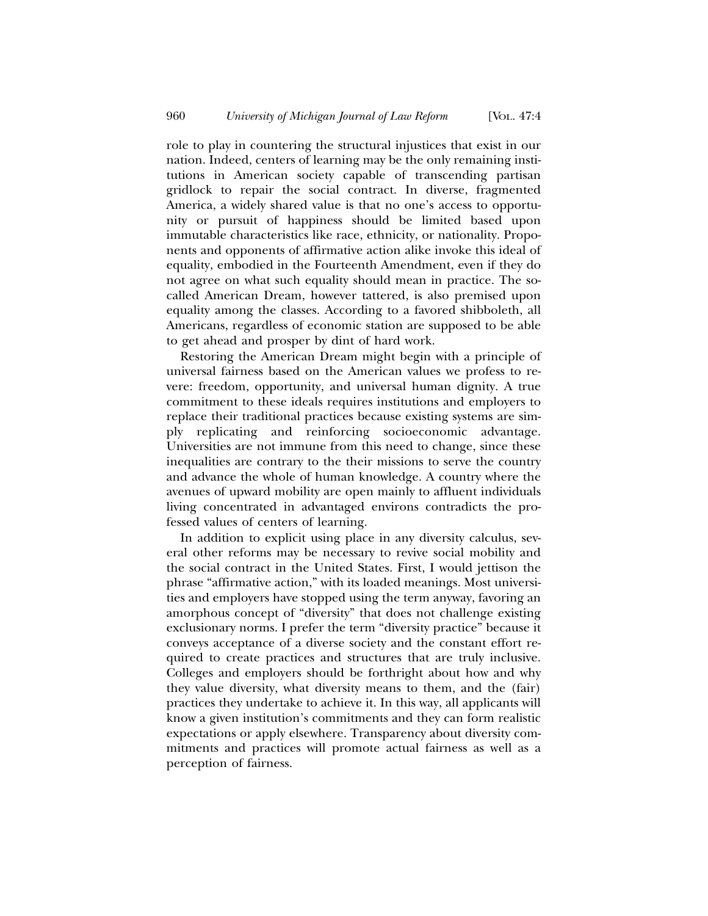role to play in countering the structural injustices that exist in our nation. Indeed, centers of learning may be the only remaining institutions in American society capable of transcending partisan gridlock to repair the social contract. In diverse, fragmented America, a widely shared value is that no one's access to opportunity or pursuit of happiness should be limited based upon immutable characteristics like race, ethnicity, or nationality. Proponents and opponents of affirmative action alike invoke this ideal of equality, embodied in the Fourteenth Amendment, even if they do not agree on what such equality should mean in practice. The socalled American Dream, however tattered, is also premised upon equality among the classes. According to a favored shibboleth, all Americans, regardless of economic station are supposed to be able to get ahead and prosper by dint of hard work.

Restoring the American Dream might begin with a principle of universal fairness based on the American values we profess to revere: freedom, opportunity, and universal human dignity. A true commitment to these ideals requires institutions and employers to replace their traditional practices because existing systems are simply replicating and reinforcing socioeconomic advantage. Universities are not immune from this need to change, since these inequalities are contrary to the their missions to serve the country and advance the whole of human knowledge. A country where the avenues of upward mobility are open mainly to affluent individuals living concentrated in advantaged environs contradicts the professed values of centers of learning.

In addition to explicit using place in any diversity calculus, several other reforms may be necessary to revive social mobility and the social contract in the United States. First, I would jettison the phrase "affirmative action," with its loaded meanings. Most universities and employers have stopped using the term anyway, favoring an amorphous concept of "diversity" that does not challenge existing exclusionary norms. I prefer the term "diversity practice" because it conveys acceptance of a diverse society and the constant effort required to create practices and structures that are truly inclusive. Colleges and employers should be forthright about how and why they value diversity, what diversity means to them, and the (fair) practices they undertake to achieve it. In this way, all applicants will know a given institution's commitments and they can form realistic expectations or apply elsewhere. Transparency about diversity commitments and practices will promote actual fairness as well as a perception of fairness.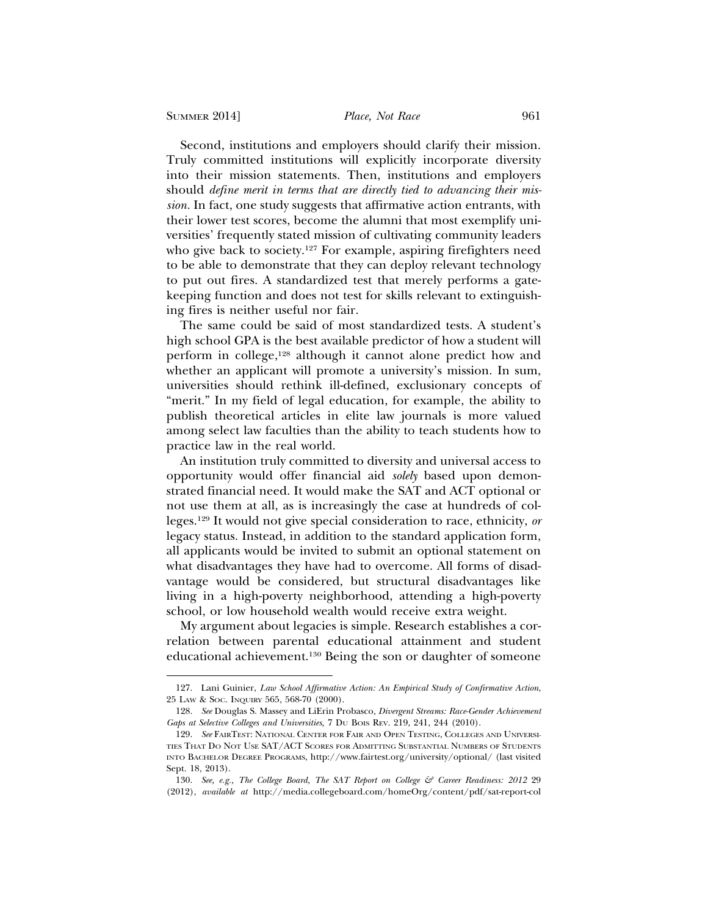Second, institutions and employers should clarify their mission. Truly committed institutions will explicitly incorporate diversity into their mission statements. Then, institutions and employers should *define merit in terms that are directly tied to advancing their mission.* In fact, one study suggests that affirmative action entrants, with their lower test scores, become the alumni that most exemplify universities' frequently stated mission of cultivating community leaders who give back to society.<sup>127</sup> For example, aspiring firefighters need to be able to demonstrate that they can deploy relevant technology to put out fires. A standardized test that merely performs a gatekeeping function and does not test for skills relevant to extinguishing fires is neither useful nor fair.

The same could be said of most standardized tests. A student's high school GPA is the best available predictor of how a student will perform in college,128 although it cannot alone predict how and whether an applicant will promote a university's mission. In sum, universities should rethink ill-defined, exclusionary concepts of "merit." In my field of legal education, for example, the ability to publish theoretical articles in elite law journals is more valued among select law faculties than the ability to teach students how to practice law in the real world.

An institution truly committed to diversity and universal access to opportunity would offer financial aid *solely* based upon demonstrated financial need. It would make the SAT and ACT optional or not use them at all, as is increasingly the case at hundreds of colleges.129 It would not give special consideration to race, ethnicity, *or* legacy status. Instead, in addition to the standard application form, all applicants would be invited to submit an optional statement on what disadvantages they have had to overcome. All forms of disadvantage would be considered, but structural disadvantages like living in a high-poverty neighborhood, attending a high-poverty school, or low household wealth would receive extra weight.

My argument about legacies is simple. Research establishes a correlation between parental educational attainment and student educational achievement.130 Being the son or daughter of someone

<sup>127.</sup> Lani Guinier, *Law School Affirmative Action: An Empirical Study of Confirmative Action*, 25 LAW & SOC. INQUIRY 565, 568-70 (2000).

<sup>128.</sup> *See* Douglas S. Massey and LiErin Probasco*, Divergent Streams: Race-Gender Achievement Gaps at Selective Colleges and Universities,* 7 DU BOIS REV. 219, 241, 244 (2010).

<sup>129.</sup> *See* FAIRTEST: NATIONAL CENTER FOR FAIR AND OPEN TESTING, COLLEGES AND UNIVERSI-TIES THAT DO NOT USE SAT/ACT SCORES FOR ADMITTING SUBSTANTIAL NUMBERS OF STUDENTS INTO BACHELOR DEGREE PROGRAMS, http://www.fairtest.org/university/optional/ (last visited Sept. 18, 2013).

<sup>130.</sup> *See, e.g., The College Board, The SAT Report on College & Career Readiness: 2012* 29 (2012), *available at* http://media.collegeboard.com/homeOrg/content/pdf/sat-report-col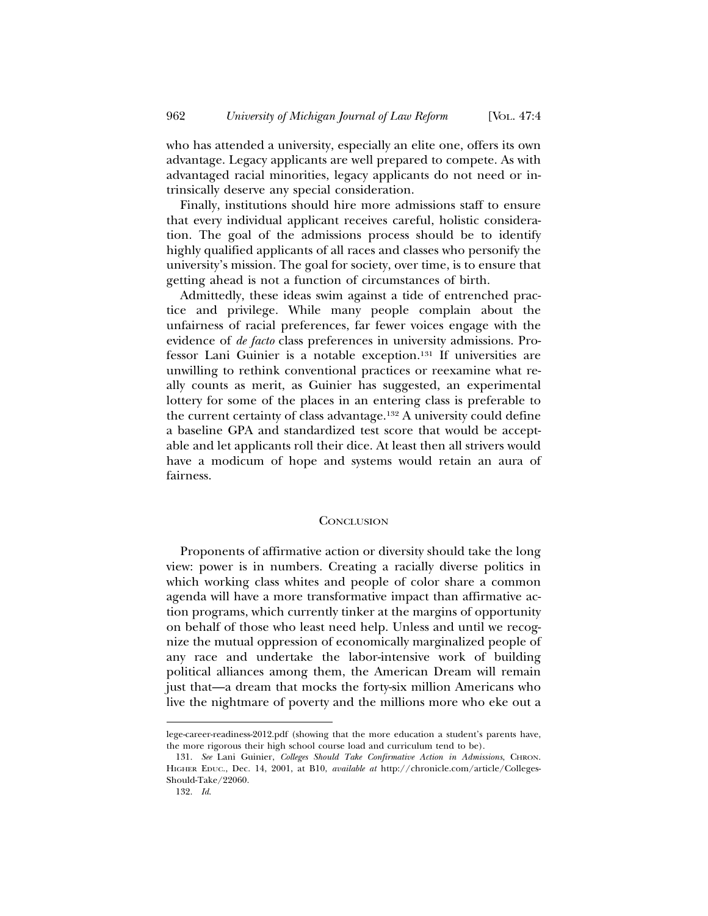who has attended a university, especially an elite one, offers its own advantage. Legacy applicants are well prepared to compete. As with advantaged racial minorities, legacy applicants do not need or intrinsically deserve any special consideration.

Finally, institutions should hire more admissions staff to ensure that every individual applicant receives careful, holistic consideration. The goal of the admissions process should be to identify highly qualified applicants of all races and classes who personify the university's mission. The goal for society, over time, is to ensure that getting ahead is not a function of circumstances of birth.

Admittedly, these ideas swim against a tide of entrenched practice and privilege. While many people complain about the unfairness of racial preferences, far fewer voices engage with the evidence of *de facto* class preferences in university admissions. Professor Lani Guinier is a notable exception.131 If universities are unwilling to rethink conventional practices or reexamine what really counts as merit, as Guinier has suggested, an experimental lottery for some of the places in an entering class is preferable to the current certainty of class advantage.132 A university could define a baseline GPA and standardized test score that would be acceptable and let applicants roll their dice. At least then all strivers would have a modicum of hope and systems would retain an aura of fairness.

#### **CONCLUSION**

Proponents of affirmative action or diversity should take the long view: power is in numbers. Creating a racially diverse politics in which working class whites and people of color share a common agenda will have a more transformative impact than affirmative action programs, which currently tinker at the margins of opportunity on behalf of those who least need help. Unless and until we recognize the mutual oppression of economically marginalized people of any race and undertake the labor-intensive work of building political alliances among them, the American Dream will remain just that—a dream that mocks the forty-six million Americans who live the nightmare of poverty and the millions more who eke out a

lege-career-readiness-2012.pdf (showing that the more education a student's parents have, the more rigorous their high school course load and curriculum tend to be).

<sup>131.</sup> *See* Lani Guinier, *Colleges Should Take Confirmative Action in Admissions*, CHRON. HIGHER EDUC., Dec. 14, 2001, at B10, *available at* http://chronicle.com/article/Colleges-Should-Take/22060.

<sup>132.</sup> *Id*.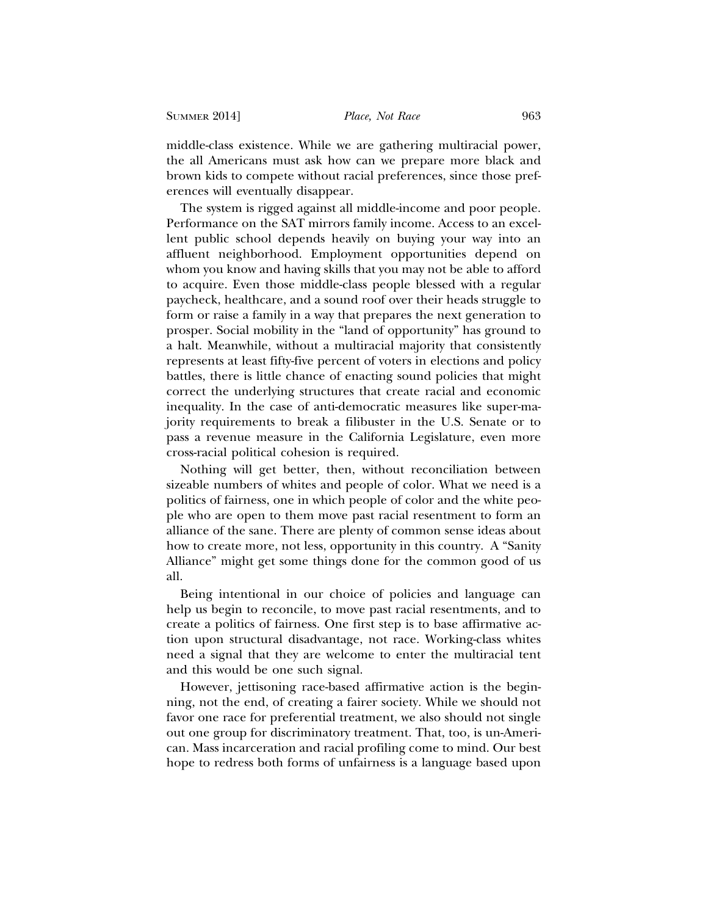middle-class existence. While we are gathering multiracial power, the all Americans must ask how can we prepare more black and brown kids to compete without racial preferences, since those preferences will eventually disappear.

The system is rigged against all middle-income and poor people. Performance on the SAT mirrors family income. Access to an excellent public school depends heavily on buying your way into an affluent neighborhood. Employment opportunities depend on whom you know and having skills that you may not be able to afford to acquire. Even those middle-class people blessed with a regular paycheck, healthcare, and a sound roof over their heads struggle to form or raise a family in a way that prepares the next generation to prosper. Social mobility in the "land of opportunity" has ground to a halt. Meanwhile, without a multiracial majority that consistently represents at least fifty-five percent of voters in elections and policy battles, there is little chance of enacting sound policies that might correct the underlying structures that create racial and economic inequality. In the case of anti-democratic measures like super-majority requirements to break a filibuster in the U.S. Senate or to pass a revenue measure in the California Legislature, even more cross-racial political cohesion is required.

Nothing will get better, then, without reconciliation between sizeable numbers of whites and people of color. What we need is a politics of fairness, one in which people of color and the white people who are open to them move past racial resentment to form an alliance of the sane. There are plenty of common sense ideas about how to create more, not less, opportunity in this country. A "Sanity Alliance" might get some things done for the common good of us all.

Being intentional in our choice of policies and language can help us begin to reconcile, to move past racial resentments, and to create a politics of fairness. One first step is to base affirmative action upon structural disadvantage, not race. Working-class whites need a signal that they are welcome to enter the multiracial tent and this would be one such signal.

However, jettisoning race-based affirmative action is the beginning, not the end, of creating a fairer society. While we should not favor one race for preferential treatment, we also should not single out one group for discriminatory treatment. That, too, is un-American. Mass incarceration and racial profiling come to mind. Our best hope to redress both forms of unfairness is a language based upon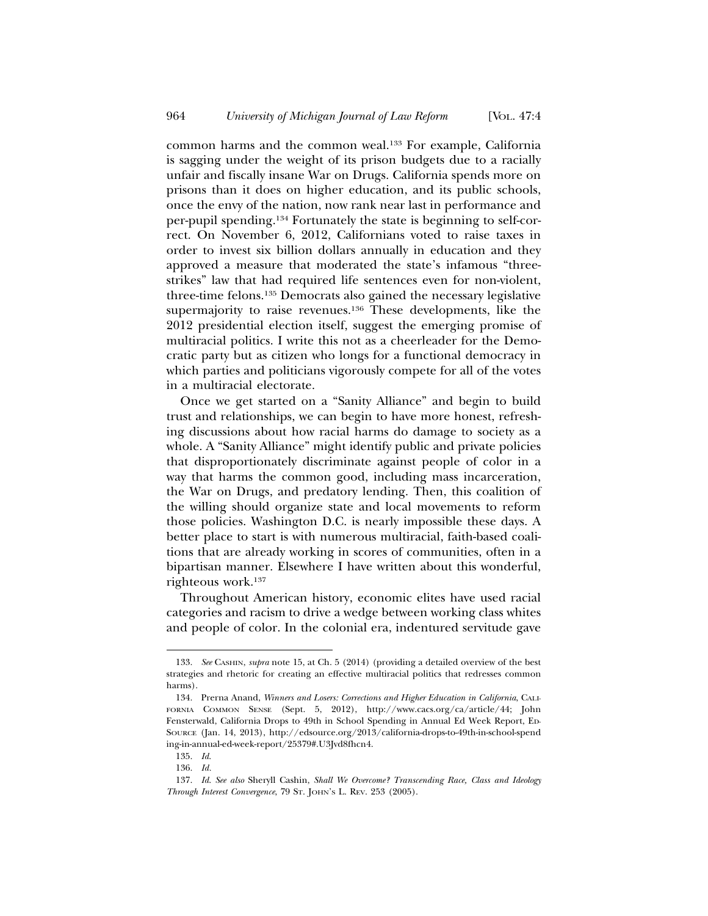common harms and the common weal.133 For example, California is sagging under the weight of its prison budgets due to a racially unfair and fiscally insane War on Drugs. California spends more on prisons than it does on higher education, and its public schools, once the envy of the nation, now rank near last in performance and per-pupil spending.134 Fortunately the state is beginning to self-correct. On November 6, 2012, Californians voted to raise taxes in order to invest six billion dollars annually in education and they approved a measure that moderated the state's infamous "threestrikes" law that had required life sentences even for non-violent, three-time felons.135 Democrats also gained the necessary legislative supermajority to raise revenues.<sup>136</sup> These developments, like the 2012 presidential election itself, suggest the emerging promise of multiracial politics. I write this not as a cheerleader for the Democratic party but as citizen who longs for a functional democracy in which parties and politicians vigorously compete for all of the votes in a multiracial electorate.

Once we get started on a "Sanity Alliance" and begin to build trust and relationships, we can begin to have more honest, refreshing discussions about how racial harms do damage to society as a whole. A "Sanity Alliance" might identify public and private policies that disproportionately discriminate against people of color in a way that harms the common good, including mass incarceration, the War on Drugs, and predatory lending. Then, this coalition of the willing should organize state and local movements to reform those policies. Washington D.C. is nearly impossible these days. A better place to start is with numerous multiracial, faith-based coalitions that are already working in scores of communities, often in a bipartisan manner. Elsewhere I have written about this wonderful, righteous work.137

Throughout American history, economic elites have used racial categories and racism to drive a wedge between working class whites and people of color. In the colonial era, indentured servitude gave

<sup>133.</sup> *See* CASHIN, *supra* note 15, at Ch. 5 (2014) (providing a detailed overview of the best strategies and rhetoric for creating an effective multiracial politics that redresses common harms).

<sup>134.</sup> Prerna Anand, *Winners and Losers: Corrections and Higher Education in California*, CALI-FORNIA COMMON SENSE (Sept. 5, 2012), http://www.cacs.org/ca/article/44; John Fensterwald, California Drops to 49th in School Spending in Annual Ed Week Report, ED-SOURCE (Jan. 14, 2013), http://edsource.org/2013/california-drops-to-49th-in-school-spend ing-in-annual-ed-week-report/25379#.U3Jvd8fhcn4.

<sup>135.</sup> *Id*.

<sup>136.</sup> *Id.*

<sup>137.</sup> *Id*. *See also* Sheryll Cashin, *Shall We Overcome? Transcending Race, Class and Ideology Through Interest Convergence*, 79 ST. JOHN'S L. REV. 253 (2005).